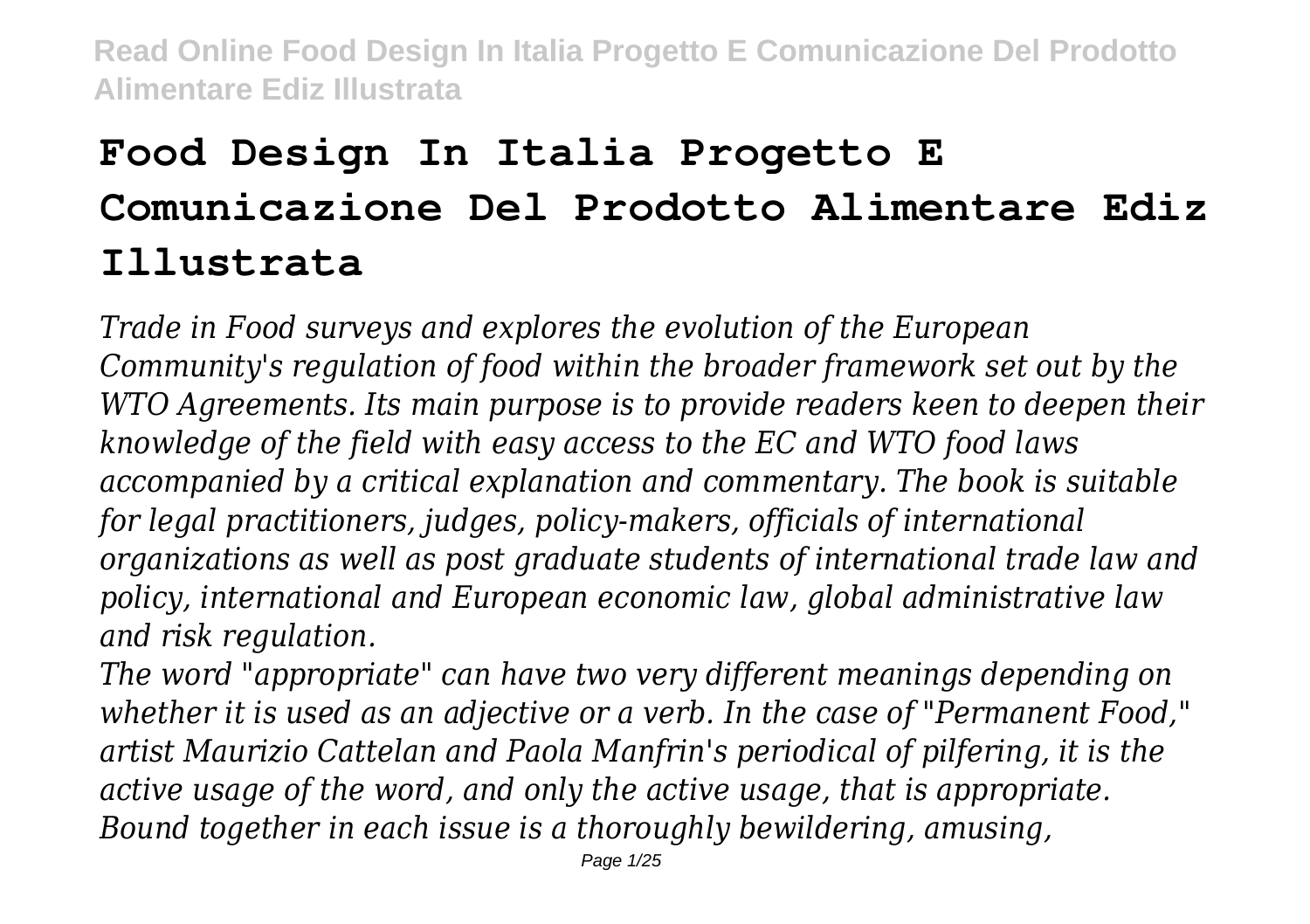# **Food Design In Italia Progetto E Comunicazione Del Prodotto Alimentare Ediz Illustrata**

*Trade in Food surveys and explores the evolution of the European Community's regulation of food within the broader framework set out by the WTO Agreements. Its main purpose is to provide readers keen to deepen their knowledge of the field with easy access to the EC and WTO food laws accompanied by a critical explanation and commentary. The book is suitable for legal practitioners, judges, policy-makers, officials of international organizations as well as post graduate students of international trade law and policy, international and European economic law, global administrative law and risk regulation.*

*The word "appropriate" can have two very different meanings depending on whether it is used as an adjective or a verb. In the case of "Permanent Food," artist Maurizio Cattelan and Paola Manfrin's periodical of pilfering, it is the active usage of the word, and only the active usage, that is appropriate. Bound together in each issue is a thoroughly bewildering, amusing,*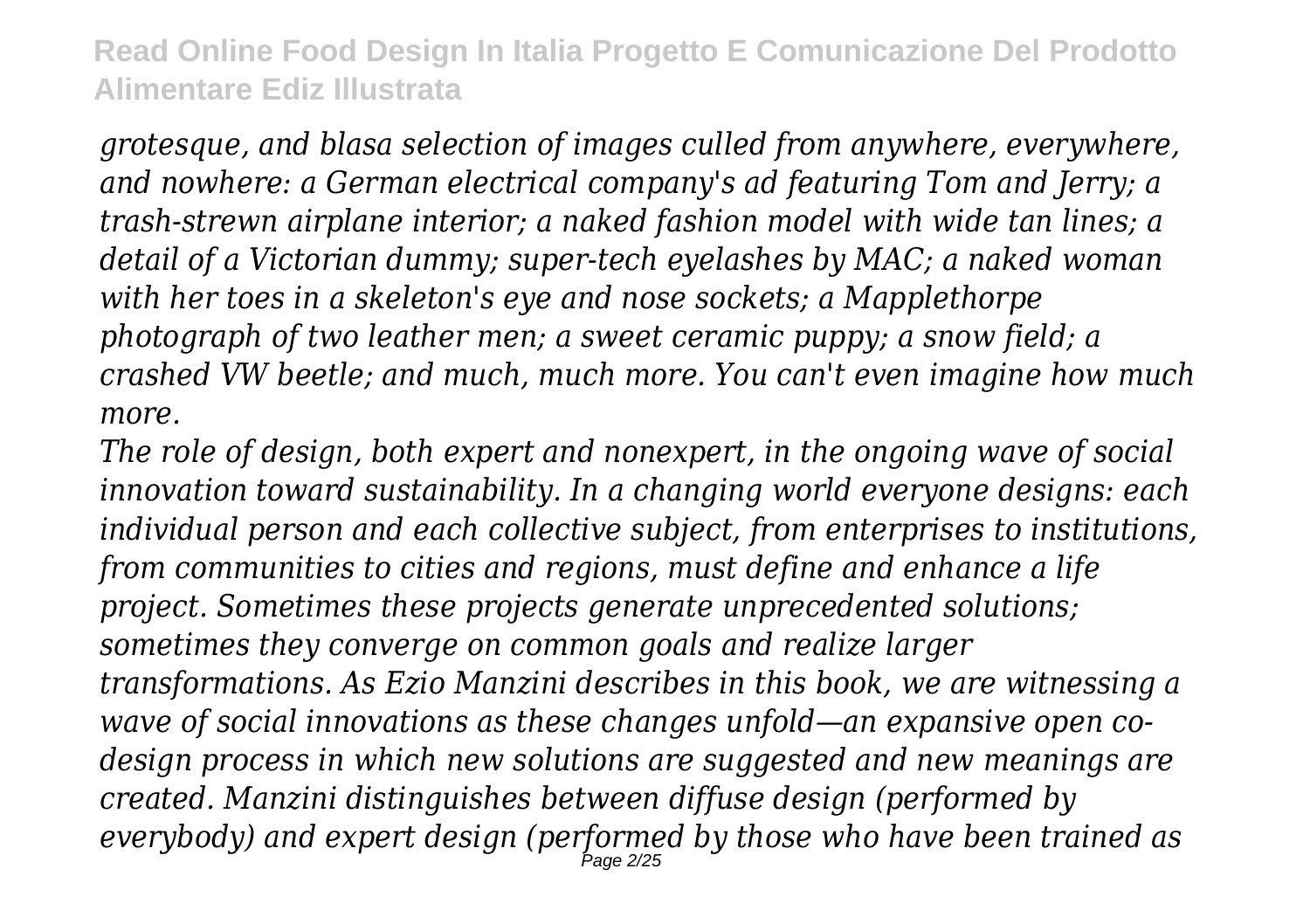*grotesque, and blasa selection of images culled from anywhere, everywhere, and nowhere: a German electrical company's ad featuring Tom and Jerry; a trash-strewn airplane interior; a naked fashion model with wide tan lines; a detail of a Victorian dummy; super-tech eyelashes by MAC; a naked woman with her toes in a skeleton's eye and nose sockets; a Mapplethorpe photograph of two leather men; a sweet ceramic puppy; a snow field; a crashed VW beetle; and much, much more. You can't even imagine how much more.*

*The role of design, both expert and nonexpert, in the ongoing wave of social innovation toward sustainability. In a changing world everyone designs: each individual person and each collective subject, from enterprises to institutions, from communities to cities and regions, must define and enhance a life project. Sometimes these projects generate unprecedented solutions; sometimes they converge on common goals and realize larger transformations. As Ezio Manzini describes in this book, we are witnessing a wave of social innovations as these changes unfold—an expansive open codesign process in which new solutions are suggested and new meanings are created. Manzini distinguishes between diffuse design (performed by everybody) and expert design (performed by those who have been trained as* Page 2/25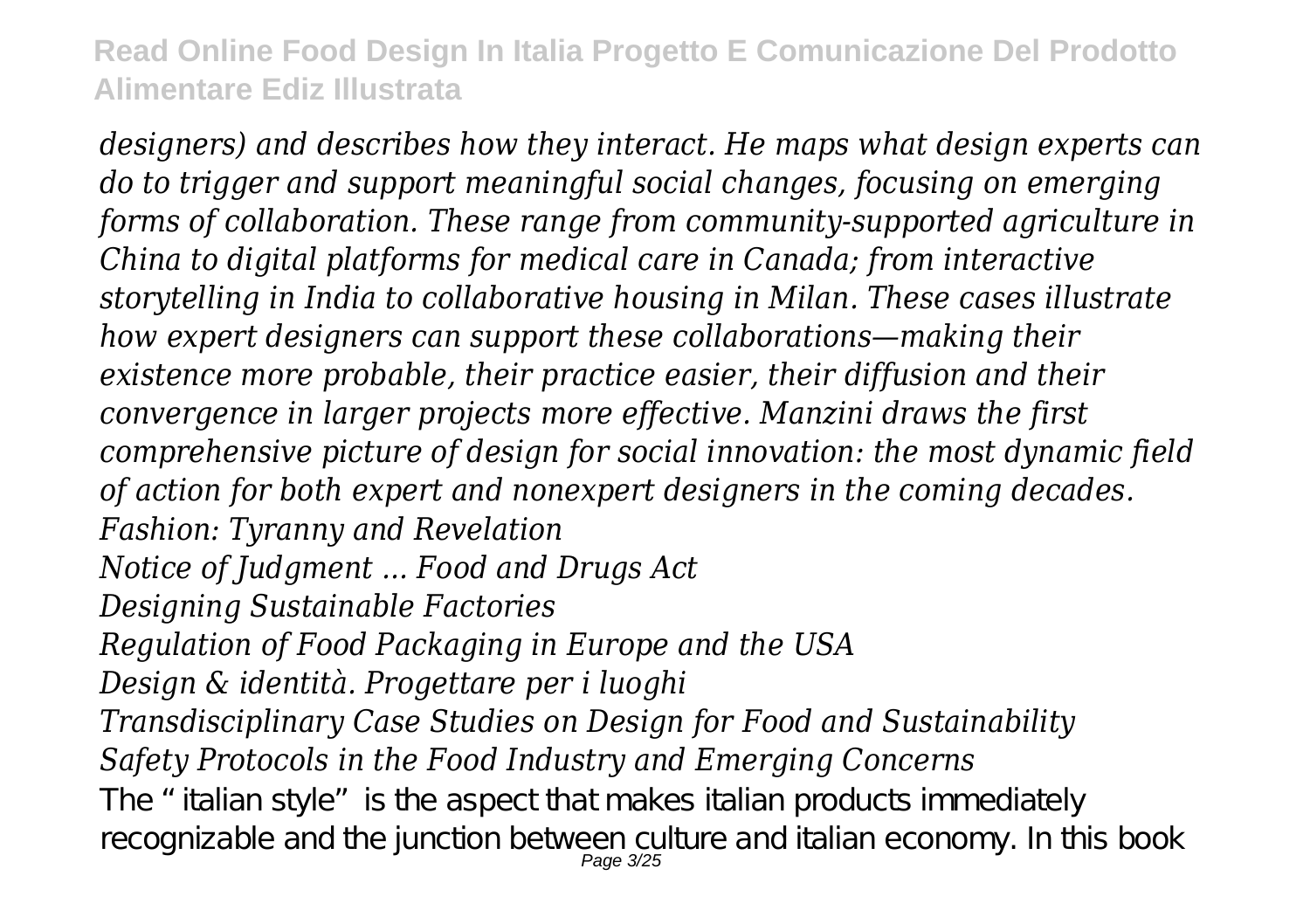*designers) and describes how they interact. He maps what design experts can do to trigger and support meaningful social changes, focusing on emerging forms of collaboration. These range from community-supported agriculture in China to digital platforms for medical care in Canada; from interactive storytelling in India to collaborative housing in Milan. These cases illustrate how expert designers can support these collaborations—making their existence more probable, their practice easier, their diffusion and their convergence in larger projects more effective. Manzini draws the first comprehensive picture of design for social innovation: the most dynamic field of action for both expert and nonexpert designers in the coming decades. Fashion: Tyranny and Revelation Notice of Judgment ... Food and Drugs Act Designing Sustainable Factories Regulation of Food Packaging in Europe and the USA Design & identità. Progettare per i luoghi Transdisciplinary Case Studies on Design for Food and Sustainability Safety Protocols in the Food Industry and Emerging Concerns* The "italian style" is the aspect that makes italian products immediately recognizable and the junction between culture and italian economy. In this book Page 3/25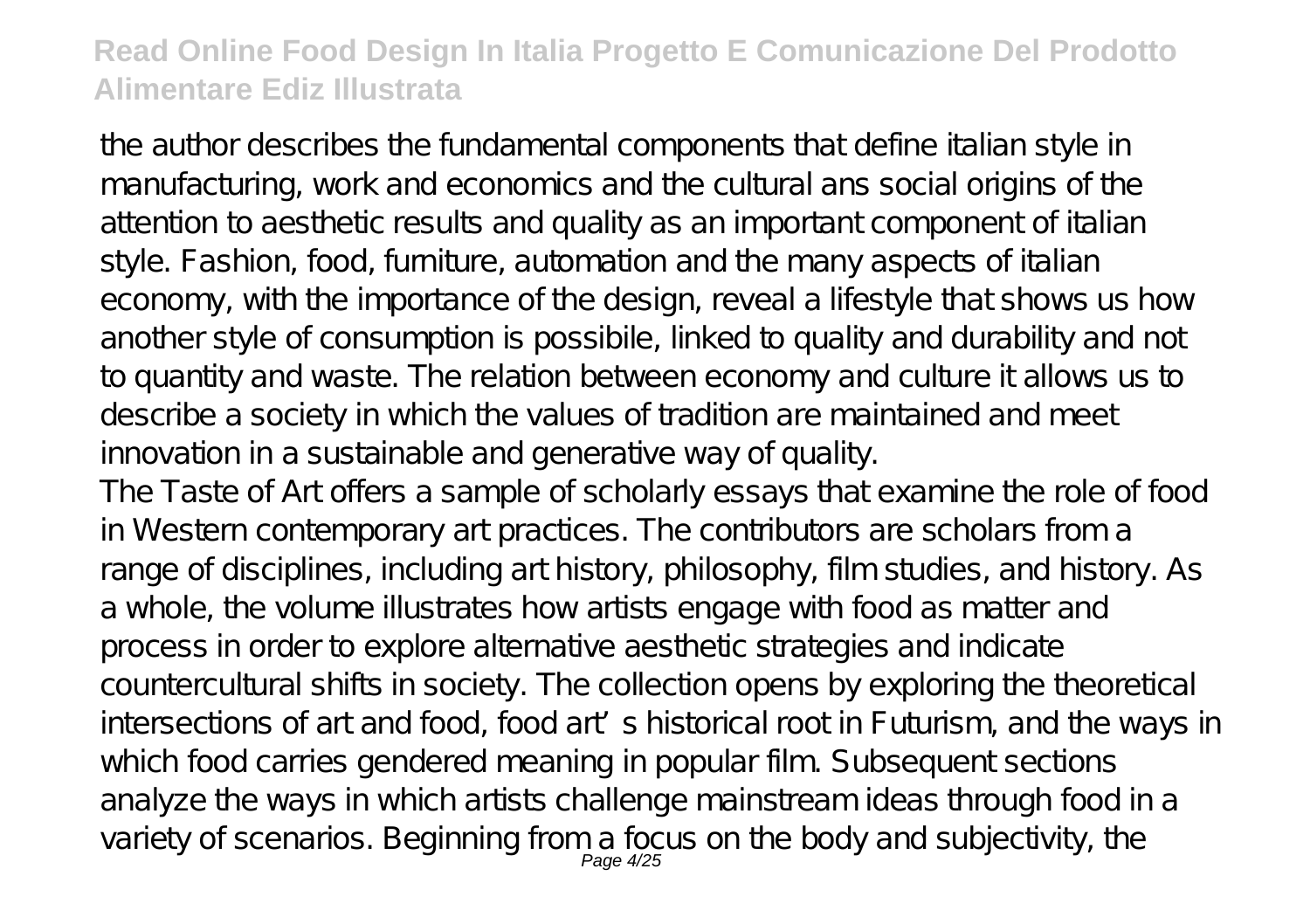the author describes the fundamental components that define italian style in manufacturing, work and economics and the cultural ans social origins of the attention to aesthetic results and quality as an important component of italian style. Fashion, food, furniture, automation and the many aspects of italian economy, with the importance of the design, reveal a lifestyle that shows us how another style of consumption is possibile, linked to quality and durability and not to quantity and waste. The relation between economy and culture it allows us to describe a society in which the values of tradition are maintained and meet innovation in a sustainable and generative way of quality.

The Taste of Art offers a sample of scholarly essays that examine the role of food in Western contemporary art practices. The contributors are scholars from a range of disciplines, including art history, philosophy, film studies, and history. As a whole, the volume illustrates how artists engage with food as matter and process in order to explore alternative aesthetic strategies and indicate countercultural shifts in society. The collection opens by exploring the theoretical intersections of art and food, food art's historical root in Futurism, and the ways in which food carries gendered meaning in popular film. Subsequent sections analyze the ways in which artists challenge mainstream ideas through food in a variety of scenarios. Beginning from a focus on the body and subjectivity, the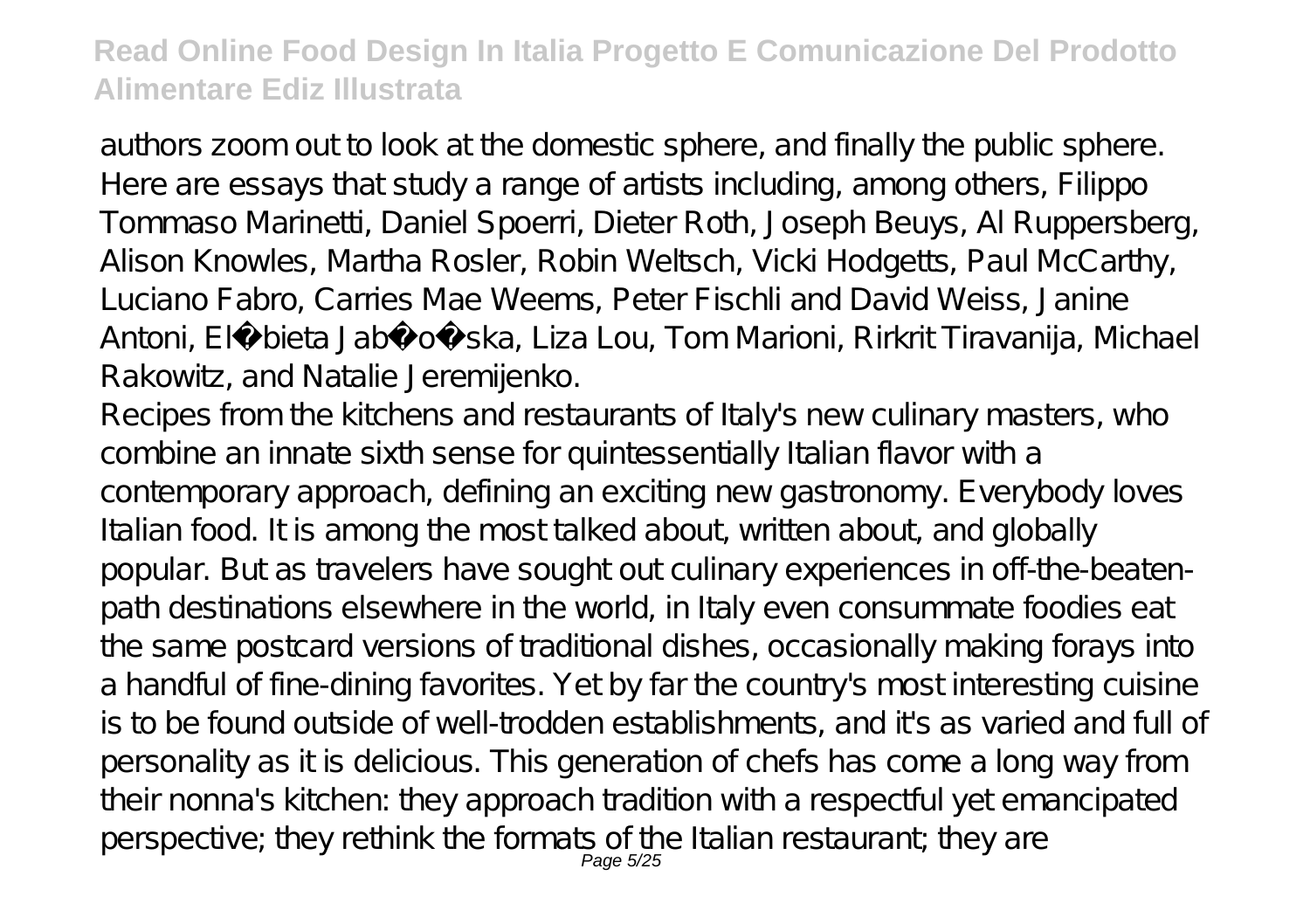authors zoom out to look at the domestic sphere, and finally the public sphere. Here are essays that study a range of artists including, among others, Filippo Tommaso Marinetti, Daniel Spoerri, Dieter Roth, Joseph Beuys, Al Ruppersberg, Alison Knowles, Martha Rosler, Robin Weltsch, Vicki Hodgetts, Paul McCarthy, Luciano Fabro, Carries Mae Weems, Peter Fischli and David Weiss, Janine Antoni, El bieta Jabło ska, Liza Lou, Tom Marioni, Rirkrit Tiravanija, Michael Rakowitz, and Natalie Jeremijenko.

Recipes from the kitchens and restaurants of Italy's new culinary masters, who combine an innate sixth sense for quintessentially Italian flavor with a contemporary approach, defining an exciting new gastronomy. Everybody loves Italian food. It is among the most talked about, written about, and globally popular. But as travelers have sought out culinary experiences in off-the-beatenpath destinations elsewhere in the world, in Italy even consummate foodies eat the same postcard versions of traditional dishes, occasionally making forays into a handful of fine-dining favorites. Yet by far the country's most interesting cuisine is to be found outside of well-trodden establishments, and it's as varied and full of personality as it is delicious. This generation of chefs has come a long way from their nonna's kitchen: they approach tradition with a respectful yet emancipated perspective; they rethink the formats of the Italian restaurant; they are Page 5/25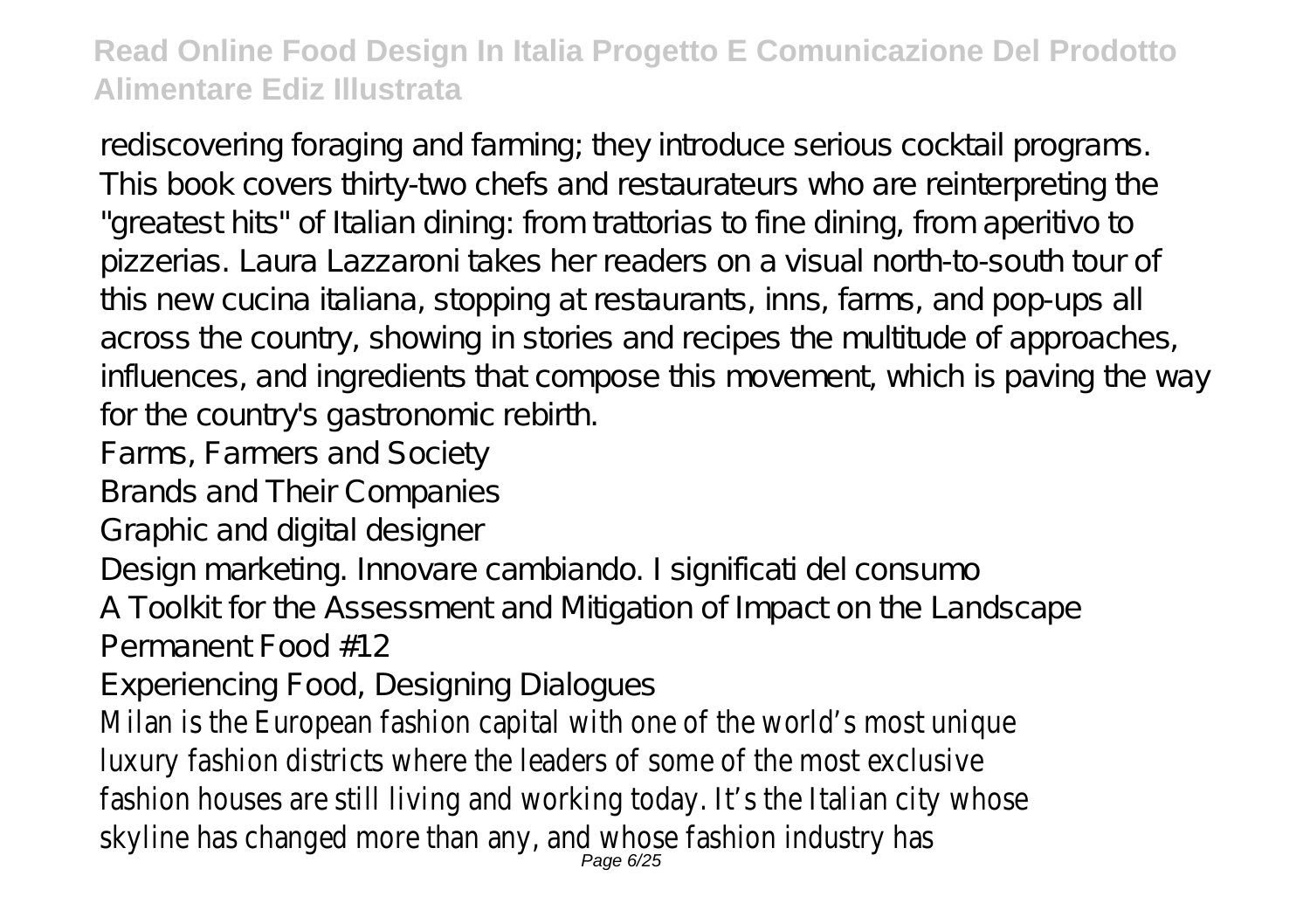rediscovering foraging and farming; they introduce serious cocktail programs. This book covers thirty-two chefs and restaurateurs who are reinterpreting the "greatest hits" of Italian dining: from trattorias to fine dining, from aperitivo to pizzerias. Laura Lazzaroni takes her readers on a visual north-to-south tour of this new cucina italiana, stopping at restaurants, inns, farms, and pop-ups all across the country, showing in stories and recipes the multitude of approaches, influences, and ingredients that compose this movement, which is paving the way for the country's gastronomic rebirth.

Farms, Farmers and Society

Brands and Their Companies

Graphic and digital designer

Design marketing. Innovare cambiando. I significati del consumo

A Toolkit for the Assessment and Mitigation of Impact on the Landscape Permanent Food #12

Experiencing Food, Designing Dialogues

Milan is the European fashion capital with one of the world's most unique luxury fashion districts where the leaders of some of the most exclusive fashion houses are still living and working today. It's the Italian city whose skyline has changed more than any, and whose fashion industry has  $_{Page\ 6/25}$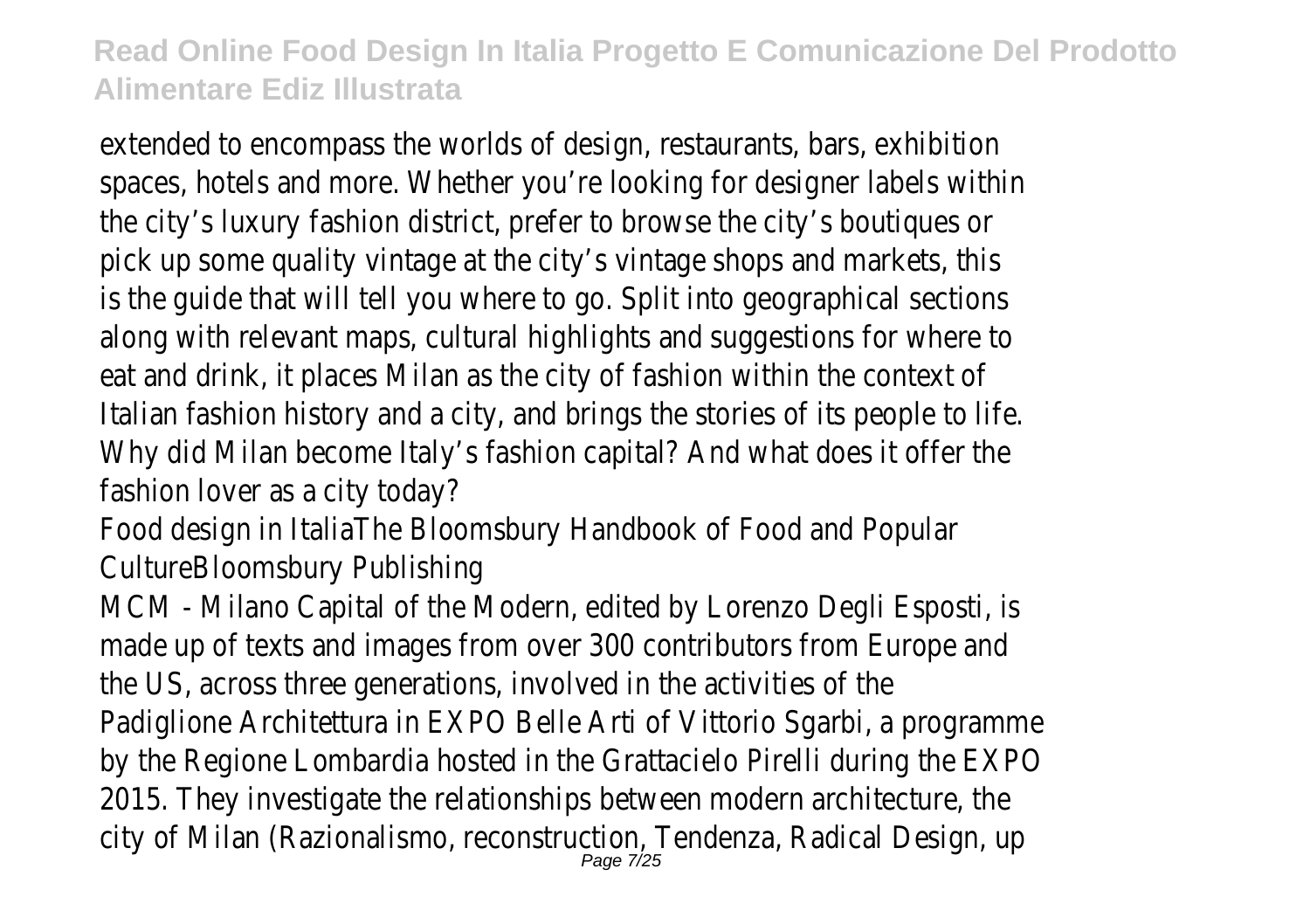extended to encompass the worlds of design, restaurants, bars, exhibition spaces, hotels and more. Whether you're looking for designer labels within the city's luxury fashion district, prefer to browse the city's boutiques or pick up some quality vintage at the city's vintage shops and markets, this is the guide that will tell you where to go. Split into geographical sections along with relevant maps, cultural highlights and suggestions for where to eat and drink, it places Milan as the city of fashion within the context of Italian fashion history and a city, and brings the stories of its people to life. Why did Milan become Italy's fashion capital? And what does it offer the fashion lover as a city today?

Food design in ItaliaThe Bloomsbury Handbook of Food and Popular CultureBloomsbury Publishing

MCM - Milano Capital of the Modern, edited by Lorenzo Degli Esposti, is made up of texts and images from over 300 contributors from Europe and the US, across three generations, involved in the activities of the Padiglione Architettura in EXPO Belle Arti of Vittorio Sgarbi, a programme by the Regione Lombardia hosted in the Grattacielo Pirelli during the EXPO 2015. They investigate the relationships between modern architecture, the city of Milan (Razionalismo, reconstruction, Tendenza, Radical Design, up Page 7/25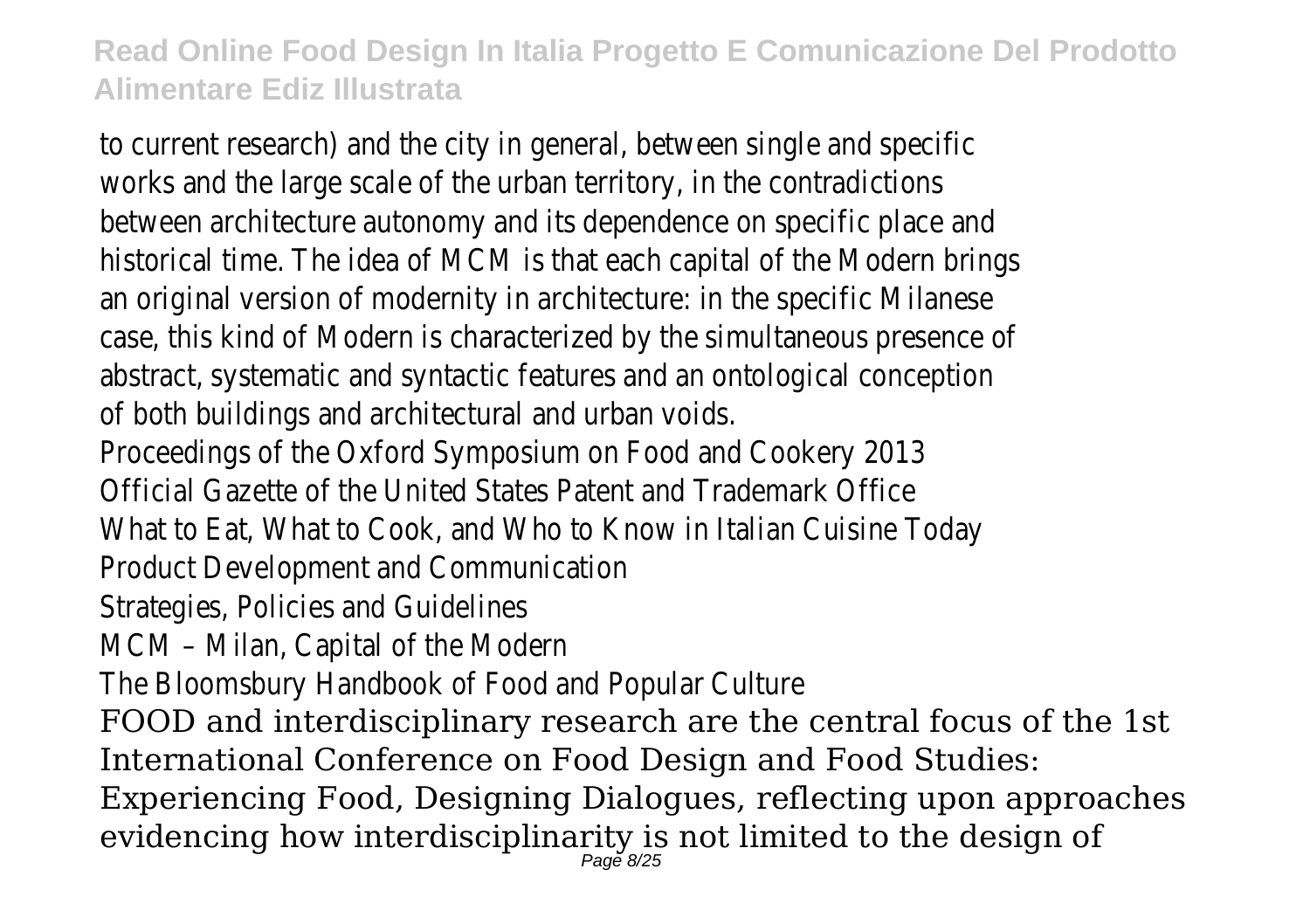to current research) and the city in general, between single and specific works and the large scale of the urban territory, in the contradictions between architecture autonomy and its dependence on specific place and historical time. The idea of MCM is that each capital of the Modern brings an original version of modernity in architecture: in the specific Milanese case, this kind of Modern is characterized by the simultaneous presence of abstract, systematic and syntactic features and an ontological conception of both buildings and architectural and urban voids. Proceedings of the Oxford Symposium on Food and Cookery 2013 Official Gazette of the United States Patent and Trademark Office What to Eat, What to Cook, and Who to Know in Italian Cuisine Today Product Development and Communication Strategies, Policies and Guidelines MCM – Milan, Capital of the Modern The Bloomsbury Handbook of Food and Popular Culture FOOD and interdisciplinary research are the central focus of the 1st International Conference on Food Design and Food Studies:

Experiencing Food, Designing Dialogues, reflecting upon approaches evidencing how interdisciplinarity is not limited to the design of Page 8/25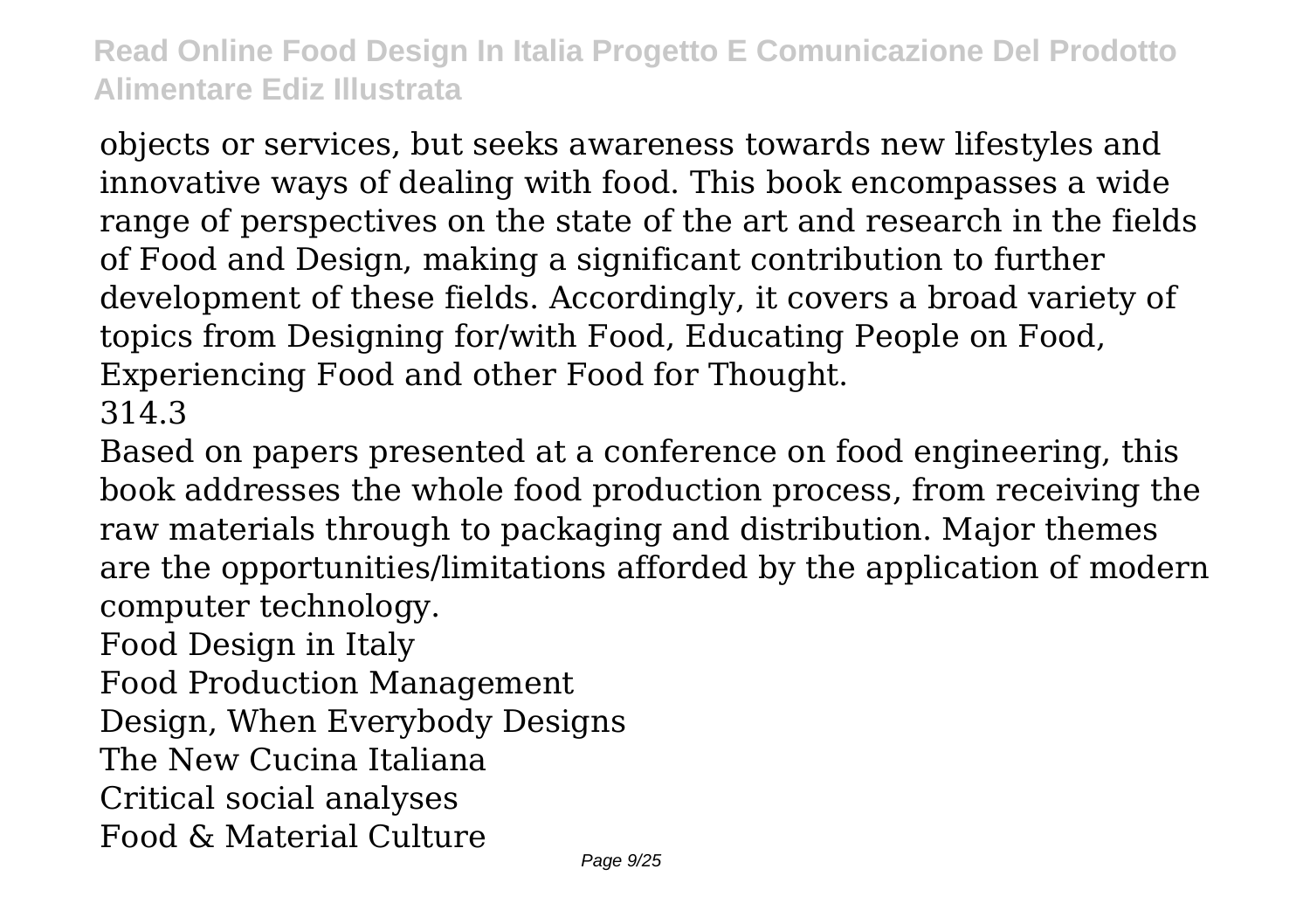objects or services, but seeks awareness towards new lifestyles and innovative ways of dealing with food. This book encompasses a wide range of perspectives on the state of the art and research in the fields of Food and Design, making a significant contribution to further development of these fields. Accordingly, it covers a broad variety of topics from Designing for/with Food, Educating People on Food, Experiencing Food and other Food for Thought. 314.3

Based on papers presented at a conference on food engineering, this book addresses the whole food production process, from receiving the raw materials through to packaging and distribution. Major themes are the opportunities/limitations afforded by the application of modern computer technology.

Food Design in Italy

Food Production Management

Design, When Everybody Designs

The New Cucina Italiana

Critical social analyses

Food & Material Culture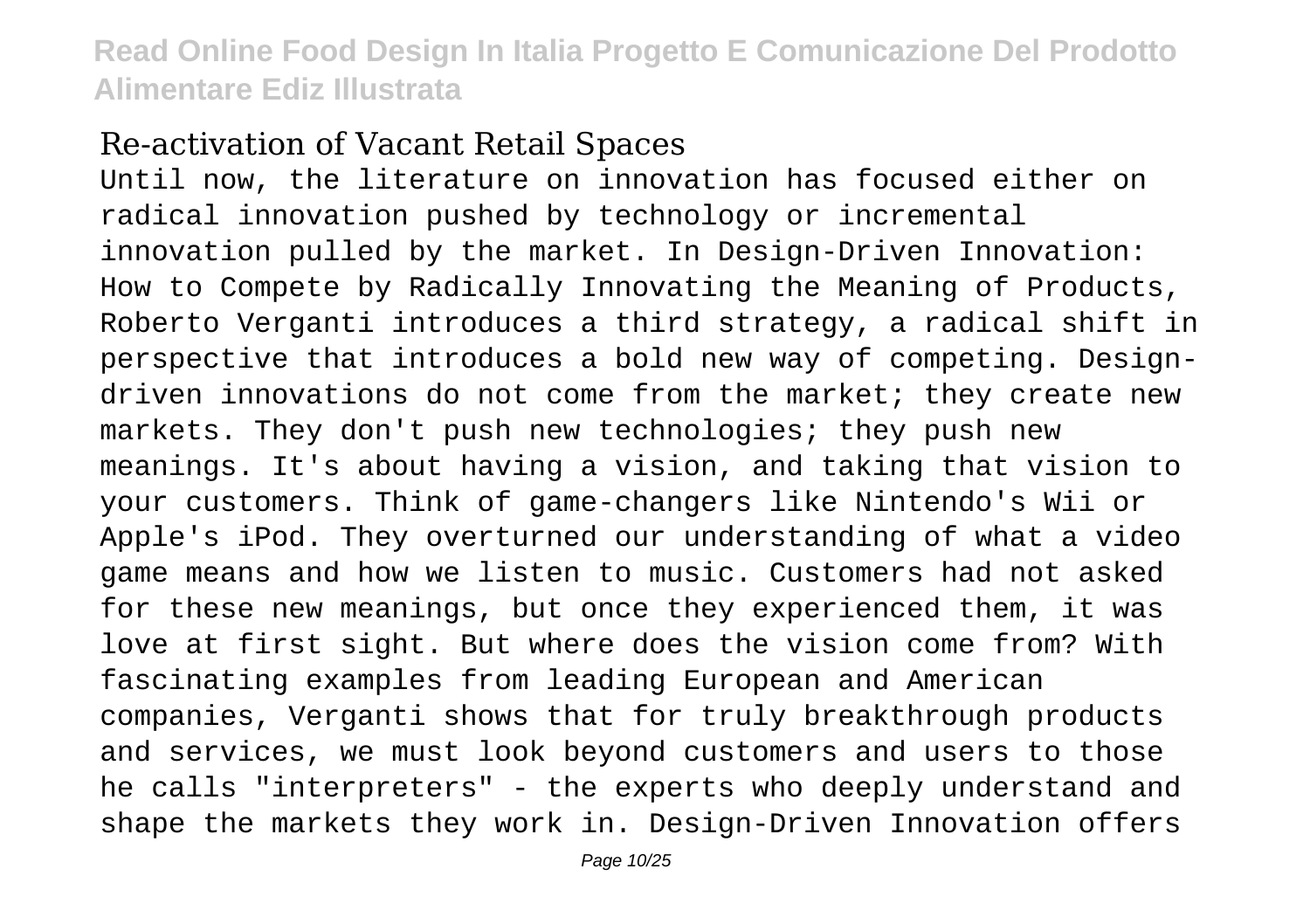#### Re-activation of Vacant Retail Spaces

Until now, the literature on innovation has focused either on radical innovation pushed by technology or incremental innovation pulled by the market. In Design-Driven Innovation: How to Compete by Radically Innovating the Meaning of Products, Roberto Verganti introduces a third strategy, a radical shift in perspective that introduces a bold new way of competing. Designdriven innovations do not come from the market; they create new markets. They don't push new technologies; they push new meanings. It's about having a vision, and taking that vision to your customers. Think of game-changers like Nintendo's Wii or Apple's iPod. They overturned our understanding of what a video game means and how we listen to music. Customers had not asked for these new meanings, but once they experienced them, it was love at first sight. But where does the vision come from? With fascinating examples from leading European and American companies, Verganti shows that for truly breakthrough products and services, we must look beyond customers and users to those he calls "interpreters" - the experts who deeply understand and shape the markets they work in. Design-Driven Innovation offers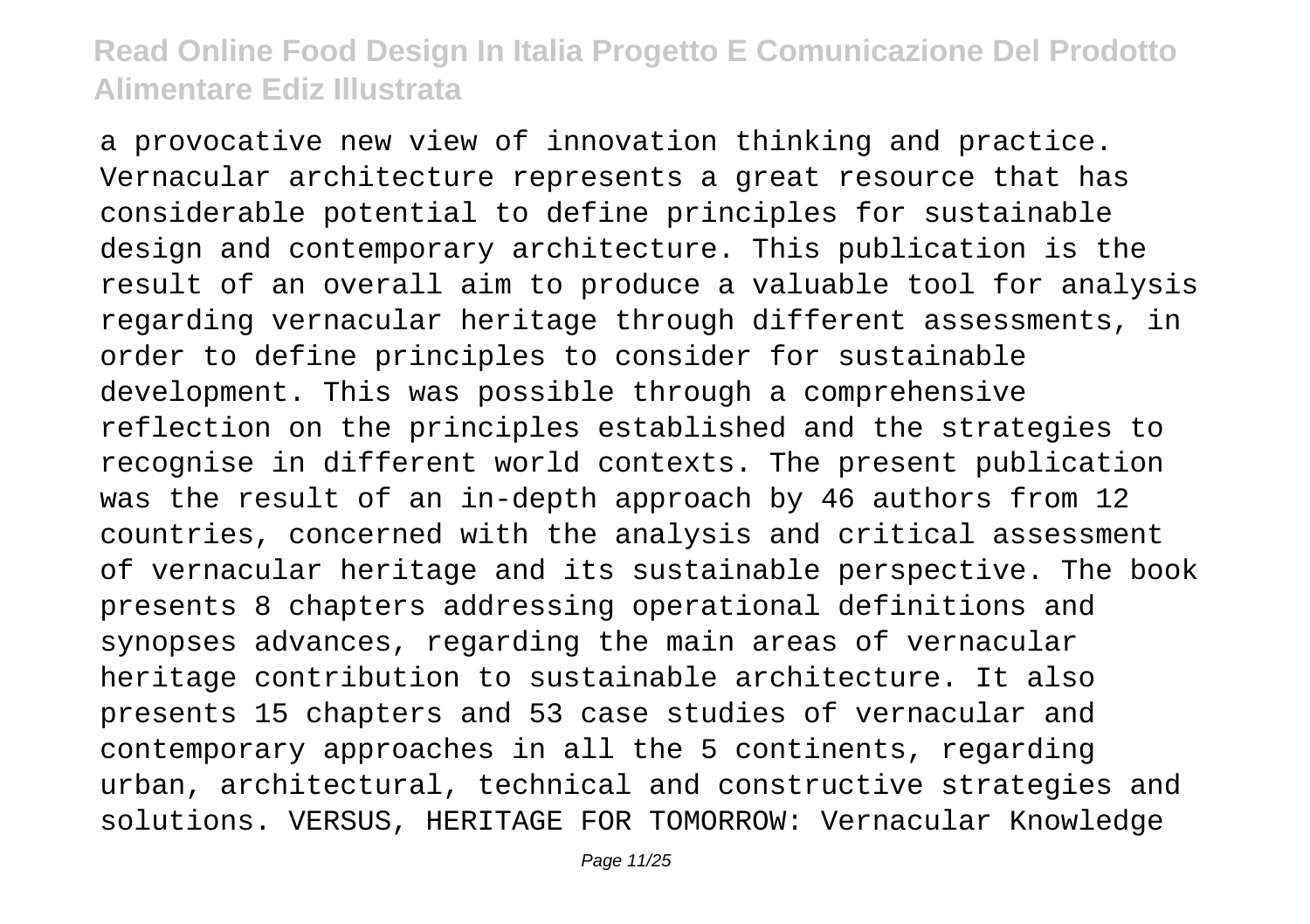a provocative new view of innovation thinking and practice. Vernacular architecture represents a great resource that has considerable potential to define principles for sustainable design and contemporary architecture. This publication is the result of an overall aim to produce a valuable tool for analysis regarding vernacular heritage through different assessments, in order to define principles to consider for sustainable development. This was possible through a comprehensive reflection on the principles established and the strategies to recognise in different world contexts. The present publication was the result of an in-depth approach by 46 authors from 12 countries, concerned with the analysis and critical assessment of vernacular heritage and its sustainable perspective. The book presents 8 chapters addressing operational definitions and synopses advances, regarding the main areas of vernacular heritage contribution to sustainable architecture. It also presents 15 chapters and 53 case studies of vernacular and contemporary approaches in all the 5 continents, regarding urban, architectural, technical and constructive strategies and solutions. VERSUS, HERITAGE FOR TOMORROW: Vernacular Knowledge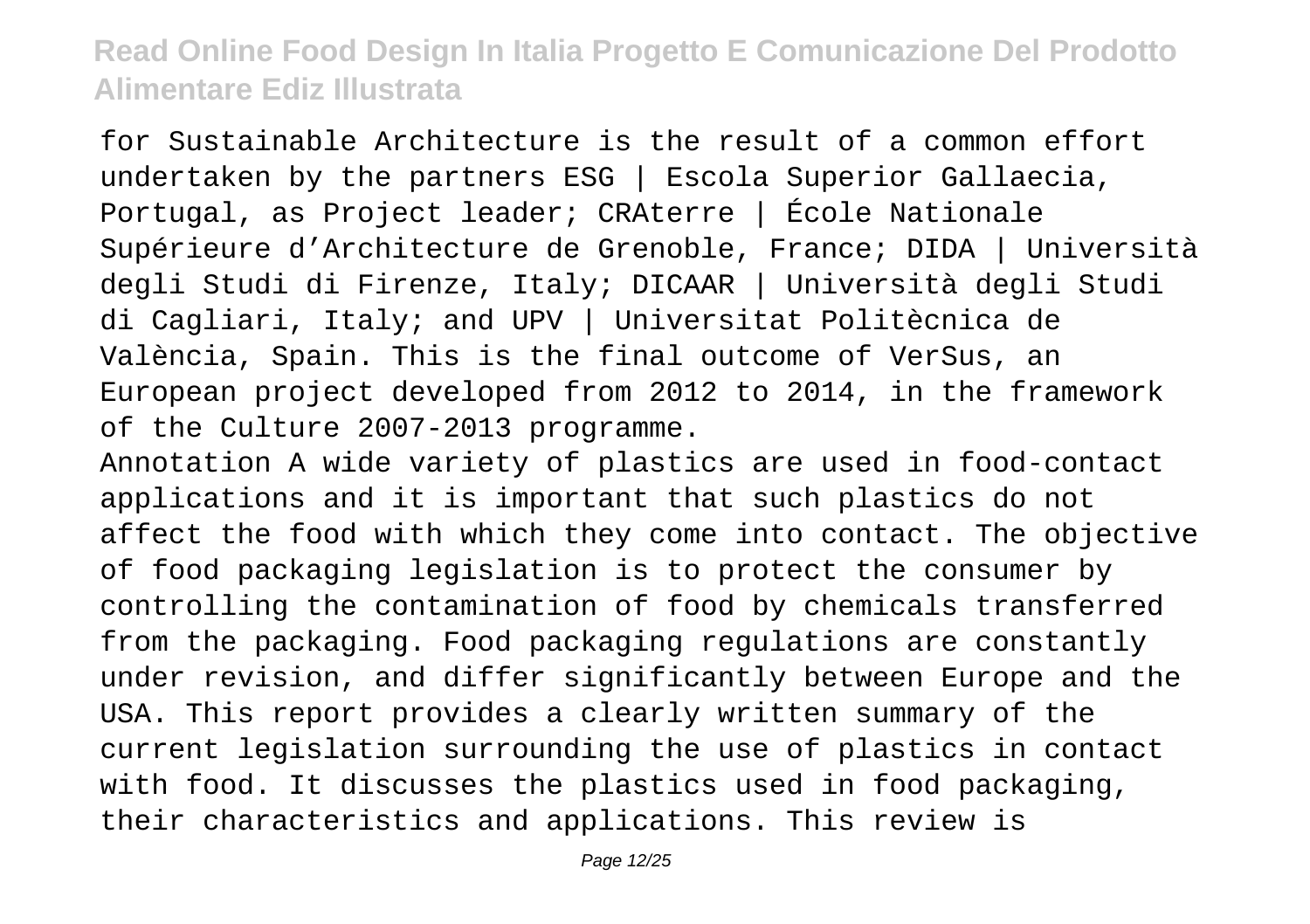for Sustainable Architecture is the result of a common effort undertaken by the partners ESG | Escola Superior Gallaecia, Portugal, as Project leader; CRAterre | École Nationale Supérieure d'Architecture de Grenoble, France; DIDA | Università degli Studi di Firenze, Italy; DICAAR | Università degli Studi di Cagliari, Italy; and UPV | Universitat Politècnica de València, Spain. This is the final outcome of VerSus, an European project developed from 2012 to 2014, in the framework of the Culture 2007-2013 programme.

Annotation A wide variety of plastics are used in food-contact applications and it is important that such plastics do not affect the food with which they come into contact. The objective of food packaging legislation is to protect the consumer by controlling the contamination of food by chemicals transferred from the packaging. Food packaging regulations are constantly under revision, and differ significantly between Europe and the USA. This report provides a clearly written summary of the current legislation surrounding the use of plastics in contact with food. It discusses the plastics used in food packaging, their characteristics and applications. This review is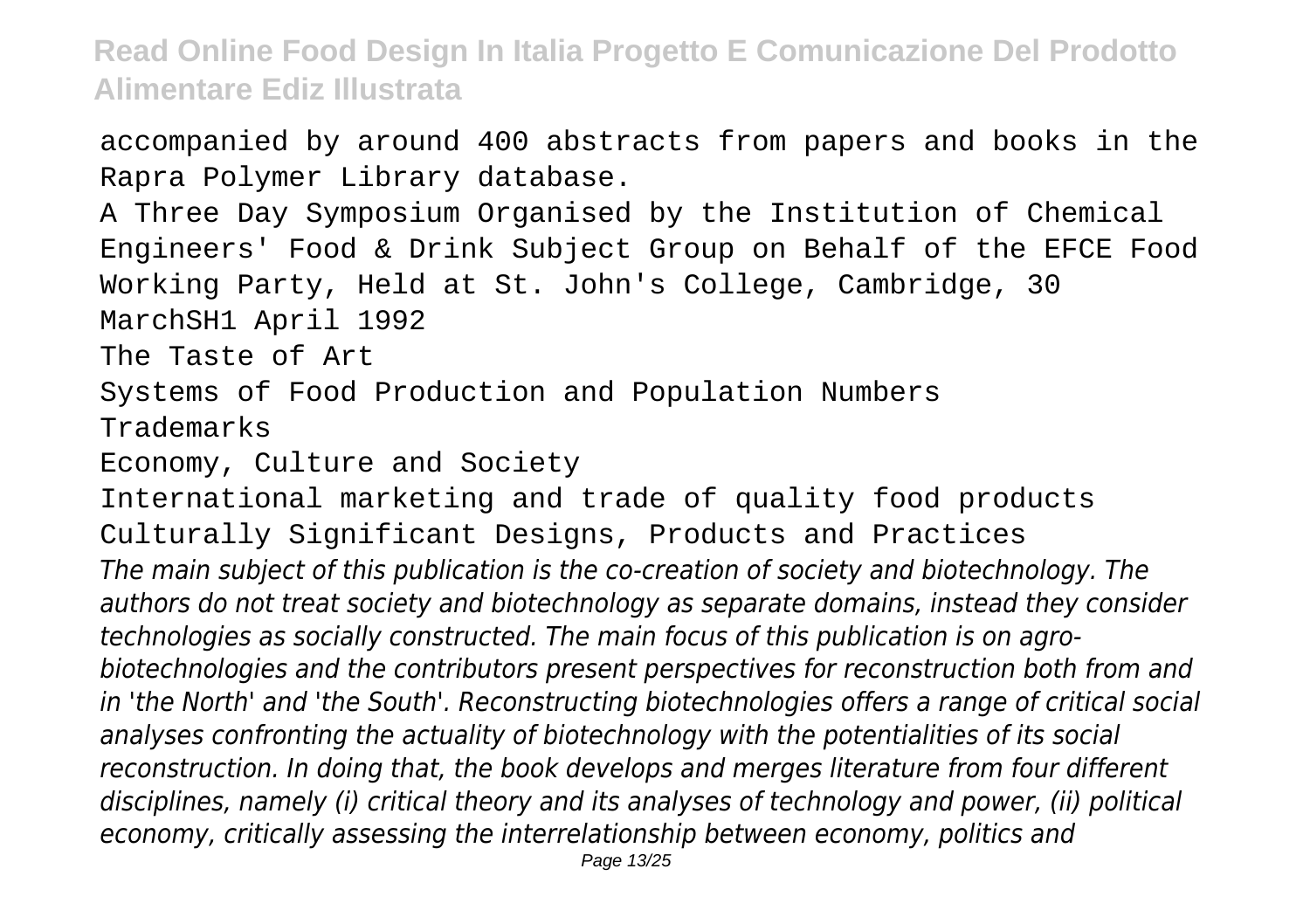accompanied by around 400 abstracts from papers and books in the Rapra Polymer Library database. A Three Day Symposium Organised by the Institution of Chemical Engineers' Food & Drink Subject Group on Behalf of the EFCE Food Working Party, Held at St. John's College, Cambridge, 30 MarchSH1 April 1992 The Taste of Art Systems of Food Production and Population Numbers Trademarks Economy, Culture and Society International marketing and trade of quality food products Culturally Significant Designs, Products and Practices *The main subject of this publication is the co-creation of society and biotechnology. The authors do not treat society and biotechnology as separate domains, instead they consider technologies as socially constructed. The main focus of this publication is on agrobiotechnologies and the contributors present perspectives for reconstruction both from and in 'the North' and 'the South'. Reconstructing biotechnologies offers a range of critical social analyses confronting the actuality of biotechnology with the potentialities of its social reconstruction. In doing that, the book develops and merges literature from four different disciplines, namely (i) critical theory and its analyses of technology and power, (ii) political economy, critically assessing the interrelationship between economy, politics and* Page 13/25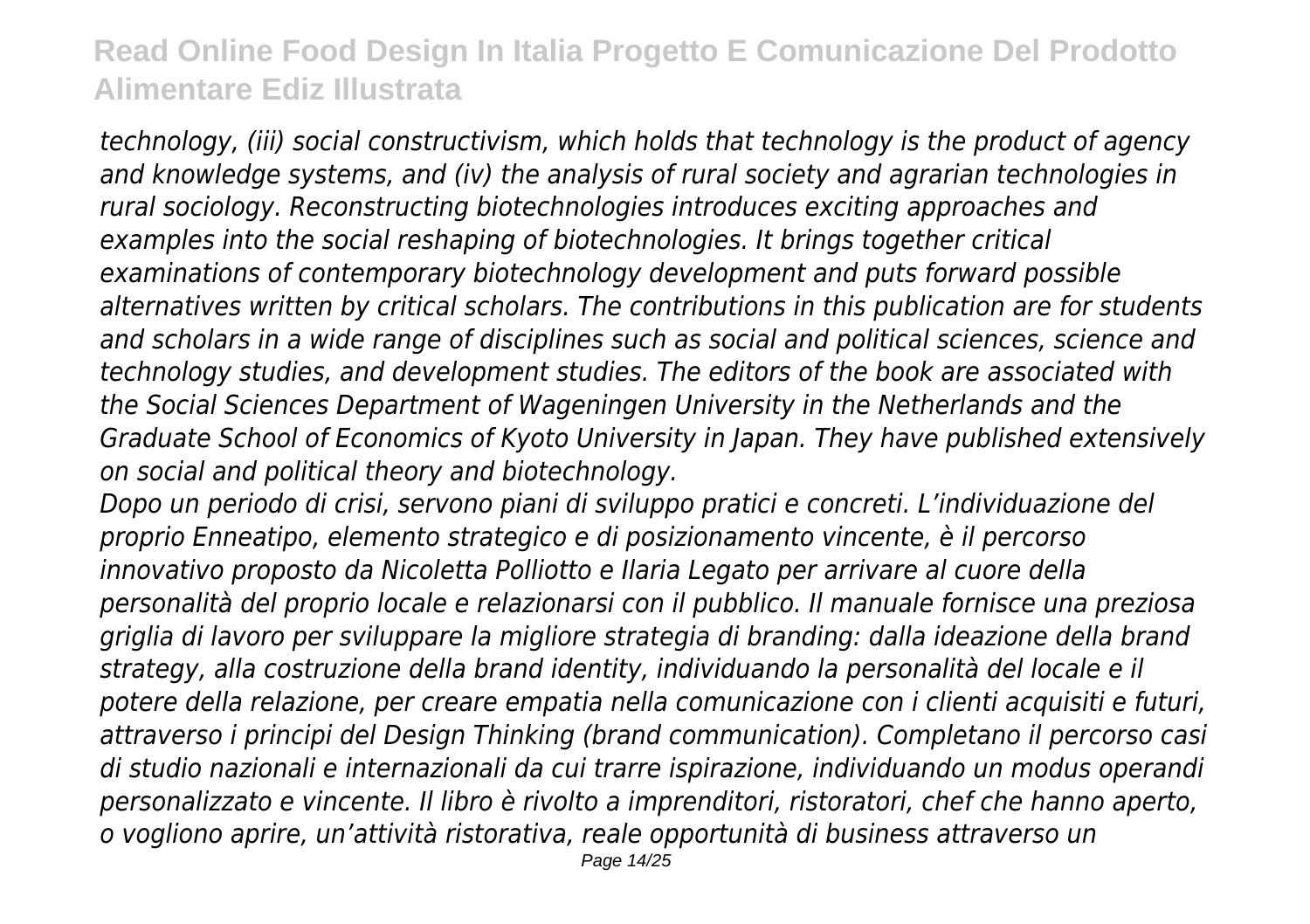*technology, (iii) social constructivism, which holds that technology is the product of agency and knowledge systems, and (iv) the analysis of rural society and agrarian technologies in rural sociology. Reconstructing biotechnologies introduces exciting approaches and examples into the social reshaping of biotechnologies. It brings together critical examinations of contemporary biotechnology development and puts forward possible alternatives written by critical scholars. The contributions in this publication are for students and scholars in a wide range of disciplines such as social and political sciences, science and technology studies, and development studies. The editors of the book are associated with the Social Sciences Department of Wageningen University in the Netherlands and the Graduate School of Economics of Kyoto University in Japan. They have published extensively on social and political theory and biotechnology.*

*Dopo un periodo di crisi, servono piani di sviluppo pratici e concreti. L'individuazione del proprio Enneatipo, elemento strategico e di posizionamento vincente, è il percorso innovativo proposto da Nicoletta Polliotto e Ilaria Legato per arrivare al cuore della personalità del proprio locale e relazionarsi con il pubblico. Il manuale fornisce una preziosa griglia di lavoro per sviluppare la migliore strategia di branding: dalla ideazione della brand strategy, alla costruzione della brand identity, individuando la personalità del locale e il potere della relazione, per creare empatia nella comunicazione con i clienti acquisiti e futuri, attraverso i principi del Design Thinking (brand communication). Completano il percorso casi di studio nazionali e internazionali da cui trarre ispirazione, individuando un modus operandi personalizzato e vincente. Il libro è rivolto a imprenditori, ristoratori, chef che hanno aperto, o vogliono aprire, un'attività ristorativa, reale opportunità di business attraverso un*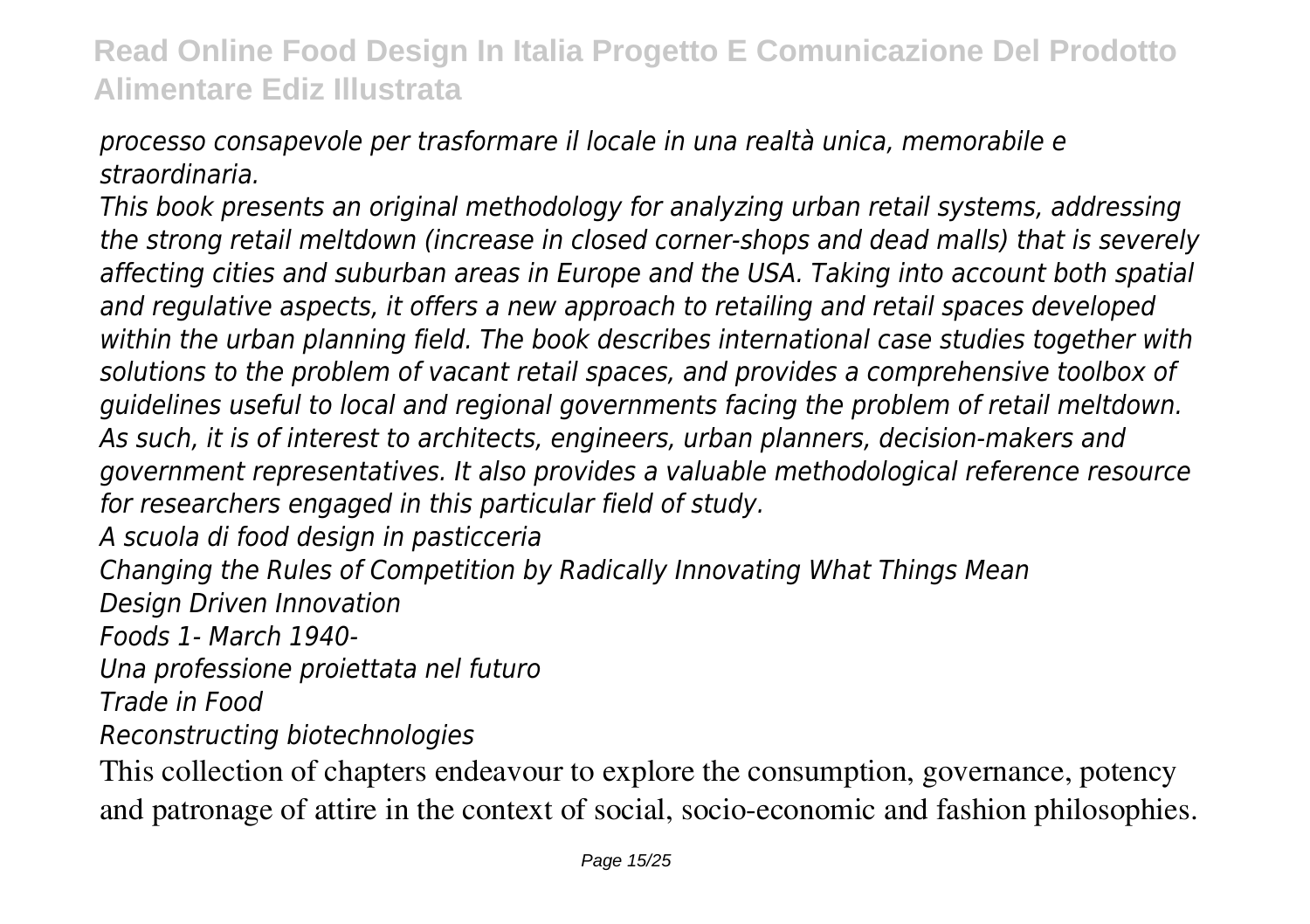*processo consapevole per trasformare il locale in una realtà unica, memorabile e straordinaria.*

*This book presents an original methodology for analyzing urban retail systems, addressing the strong retail meltdown (increase in closed corner-shops and dead malls) that is severely affecting cities and suburban areas in Europe and the USA. Taking into account both spatial and regulative aspects, it offers a new approach to retailing and retail spaces developed within the urban planning field. The book describes international case studies together with solutions to the problem of vacant retail spaces, and provides a comprehensive toolbox of guidelines useful to local and regional governments facing the problem of retail meltdown. As such, it is of interest to architects, engineers, urban planners, decision-makers and government representatives. It also provides a valuable methodological reference resource for researchers engaged in this particular field of study.*

*A scuola di food design in pasticceria*

*Changing the Rules of Competition by Radically Innovating What Things Mean Design Driven Innovation*

*Foods 1- March 1940-*

*Una professione proiettata nel futuro*

*Trade in Food*

*Reconstructing biotechnologies*

This collection of chapters endeavour to explore the consumption, governance, potency and patronage of attire in the context of social, socio-economic and fashion philosophies.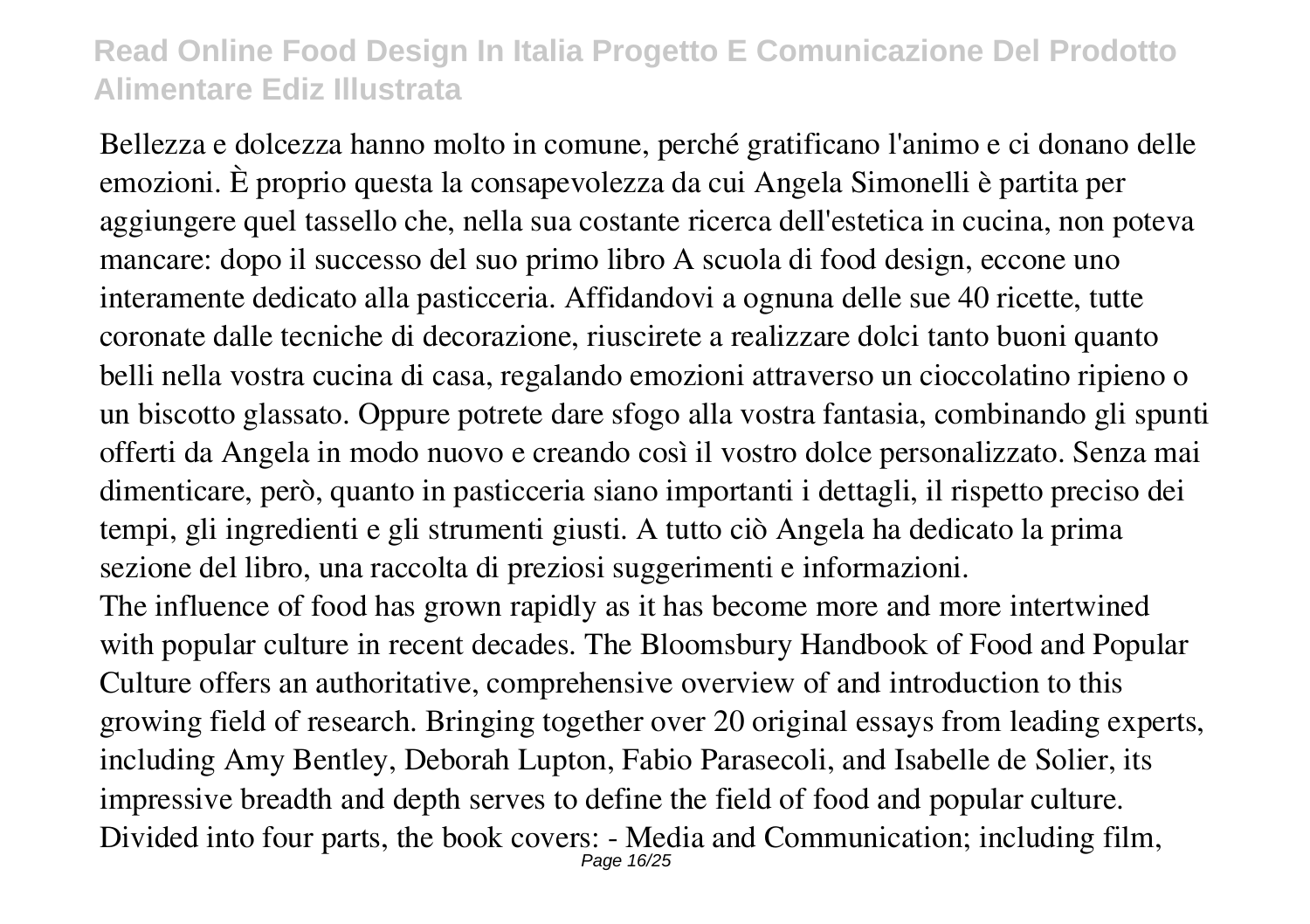Bellezza e dolcezza hanno molto in comune, perché gratificano l'animo e ci donano delle emozioni. È proprio questa la consapevolezza da cui Angela Simonelli è partita per aggiungere quel tassello che, nella sua costante ricerca dell'estetica in cucina, non poteva mancare: dopo il successo del suo primo libro A scuola di food design, eccone uno interamente dedicato alla pasticceria. Affidandovi a ognuna delle sue 40 ricette, tutte coronate dalle tecniche di decorazione, riuscirete a realizzare dolci tanto buoni quanto belli nella vostra cucina di casa, regalando emozioni attraverso un cioccolatino ripieno o un biscotto glassato. Oppure potrete dare sfogo alla vostra fantasia, combinando gli spunti offerti da Angela in modo nuovo e creando così il vostro dolce personalizzato. Senza mai dimenticare, però, quanto in pasticceria siano importanti i dettagli, il rispetto preciso dei tempi, gli ingredienti e gli strumenti giusti. A tutto ciò Angela ha dedicato la prima sezione del libro, una raccolta di preziosi suggerimenti e informazioni. The influence of food has grown rapidly as it has become more and more intertwined with popular culture in recent decades. The Bloomsbury Handbook of Food and Popular Culture offers an authoritative, comprehensive overview of and introduction to this growing field of research. Bringing together over 20 original essays from leading experts, including Amy Bentley, Deborah Lupton, Fabio Parasecoli, and Isabelle de Solier, its

impressive breadth and depth serves to define the field of food and popular culture. Divided into four parts, the book covers: - Media and Communication; including film, Page 16/25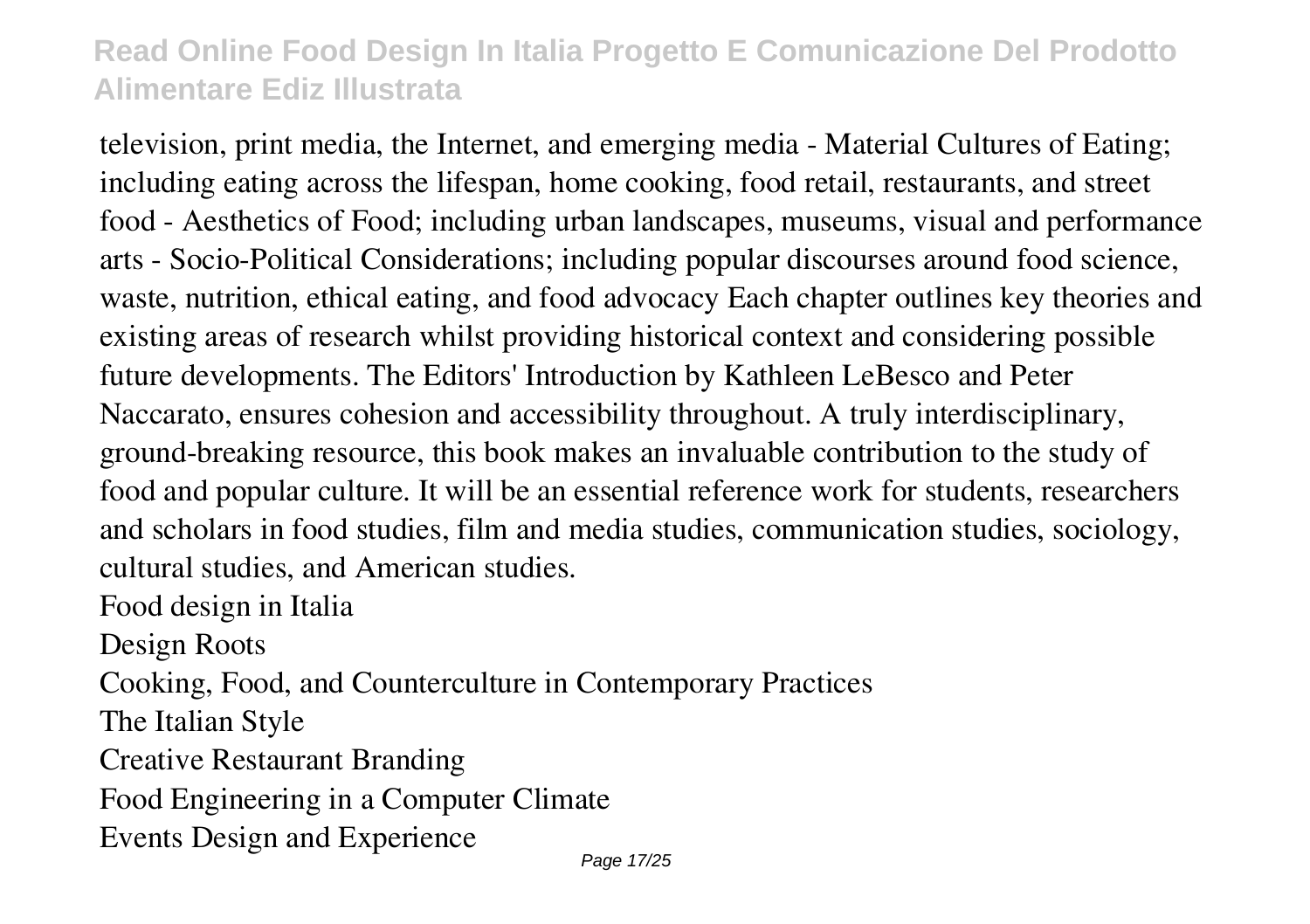television, print media, the Internet, and emerging media - Material Cultures of Eating; including eating across the lifespan, home cooking, food retail, restaurants, and street food - Aesthetics of Food; including urban landscapes, museums, visual and performance arts - Socio-Political Considerations; including popular discourses around food science, waste, nutrition, ethical eating, and food advocacy Each chapter outlines key theories and existing areas of research whilst providing historical context and considering possible future developments. The Editors' Introduction by Kathleen LeBesco and Peter Naccarato, ensures cohesion and accessibility throughout. A truly interdisciplinary, ground-breaking resource, this book makes an invaluable contribution to the study of food and popular culture. It will be an essential reference work for students, researchers and scholars in food studies, film and media studies, communication studies, sociology, cultural studies, and American studies.

Food design in Italia

Design Roots

Cooking, Food, and Counterculture in Contemporary Practices

The Italian Style

Creative Restaurant Branding

Food Engineering in a Computer Climate

Events Design and Experience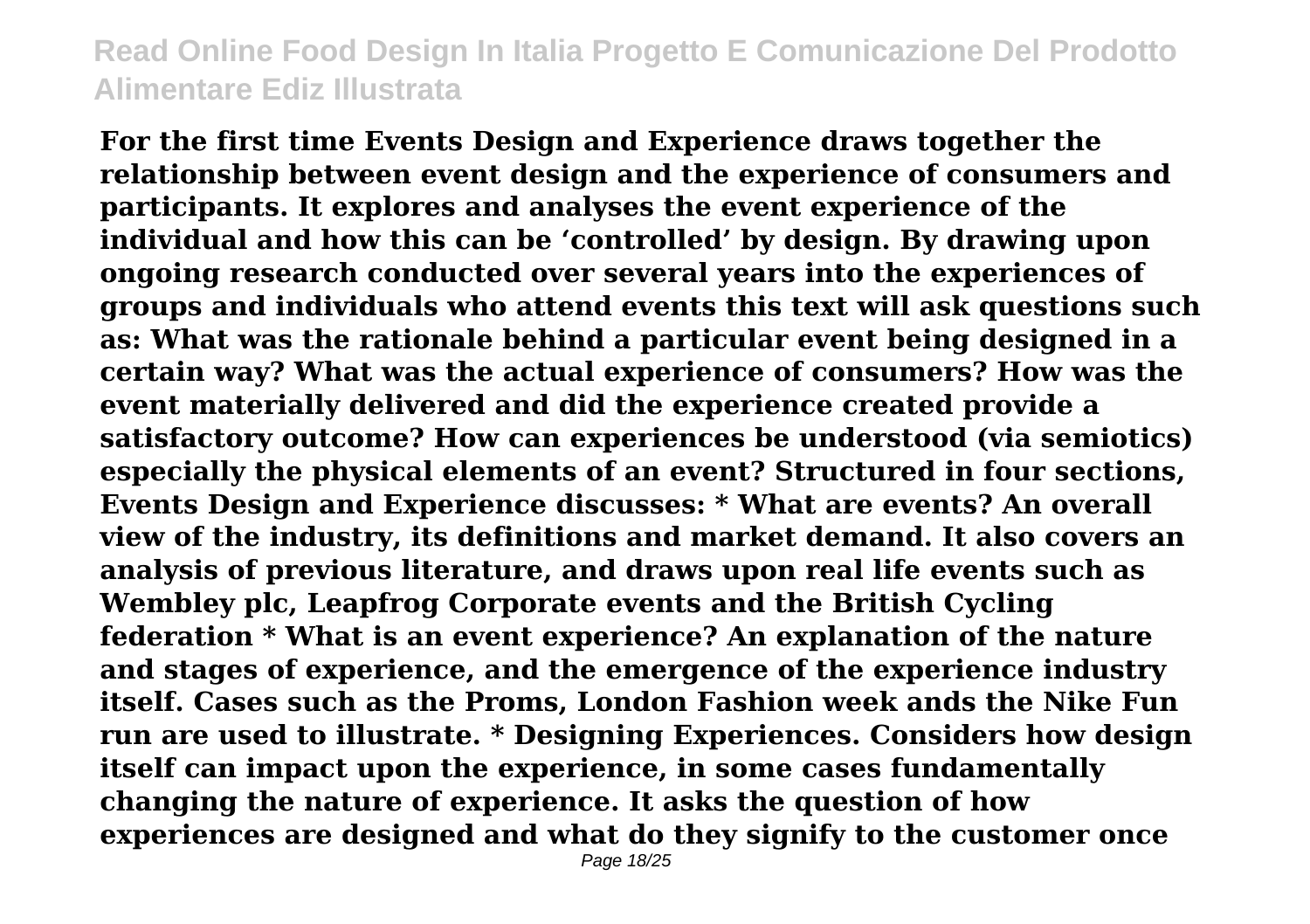**For the first time Events Design and Experience draws together the relationship between event design and the experience of consumers and participants. It explores and analyses the event experience of the individual and how this can be 'controlled' by design. By drawing upon ongoing research conducted over several years into the experiences of groups and individuals who attend events this text will ask questions such as: What was the rationale behind a particular event being designed in a certain way? What was the actual experience of consumers? How was the event materially delivered and did the experience created provide a satisfactory outcome? How can experiences be understood (via semiotics) especially the physical elements of an event? Structured in four sections, Events Design and Experience discusses: \* What are events? An overall view of the industry, its definitions and market demand. It also covers an analysis of previous literature, and draws upon real life events such as Wembley plc, Leapfrog Corporate events and the British Cycling federation \* What is an event experience? An explanation of the nature and stages of experience, and the emergence of the experience industry itself. Cases such as the Proms, London Fashion week ands the Nike Fun run are used to illustrate. \* Designing Experiences. Considers how design itself can impact upon the experience, in some cases fundamentally changing the nature of experience. It asks the question of how experiences are designed and what do they signify to the customer once**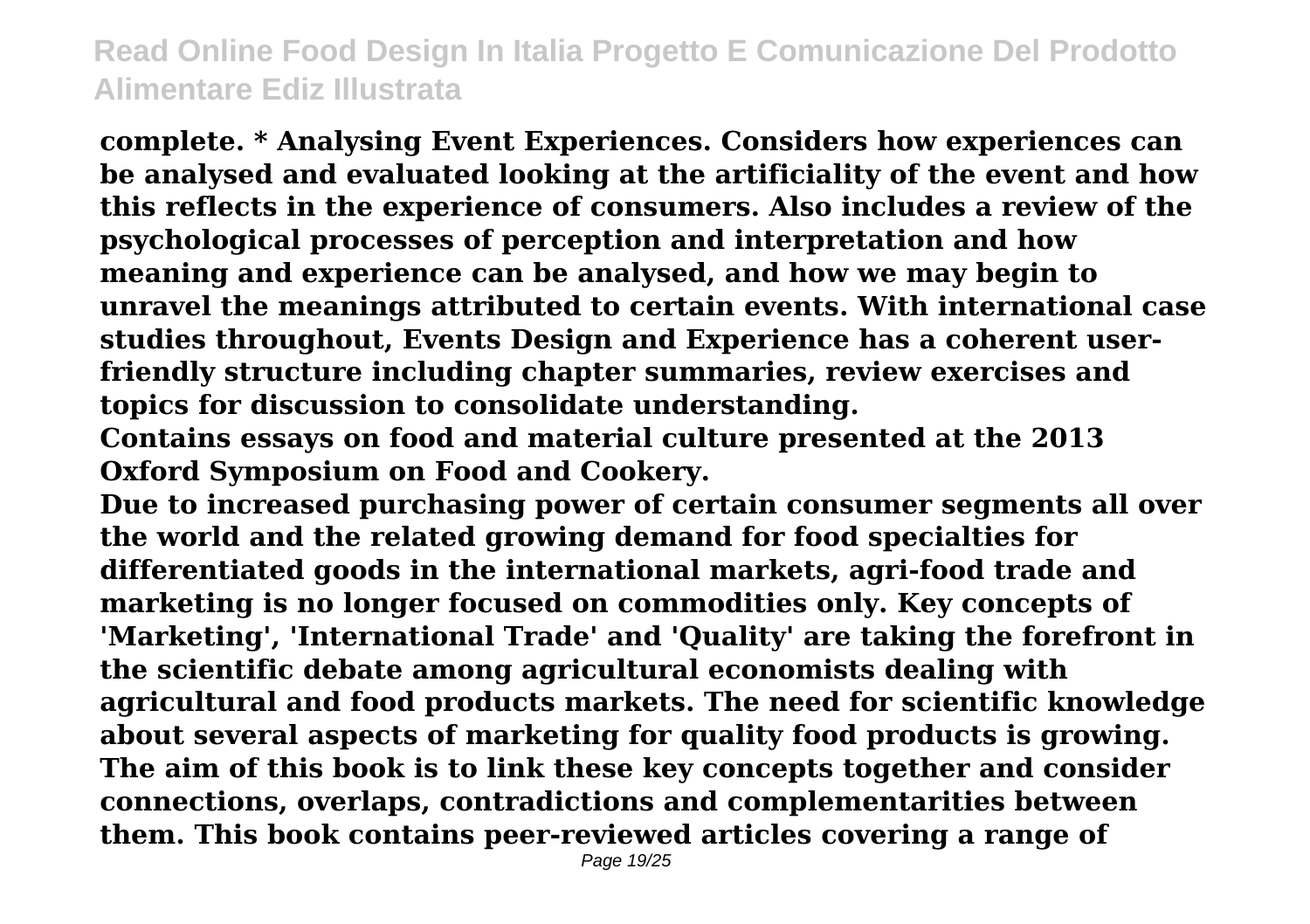**complete. \* Analysing Event Experiences. Considers how experiences can be analysed and evaluated looking at the artificiality of the event and how this reflects in the experience of consumers. Also includes a review of the psychological processes of perception and interpretation and how meaning and experience can be analysed, and how we may begin to unravel the meanings attributed to certain events. With international case studies throughout, Events Design and Experience has a coherent userfriendly structure including chapter summaries, review exercises and topics for discussion to consolidate understanding.**

**Contains essays on food and material culture presented at the 2013 Oxford Symposium on Food and Cookery.**

**Due to increased purchasing power of certain consumer segments all over the world and the related growing demand for food specialties for differentiated goods in the international markets, agri-food trade and marketing is no longer focused on commodities only. Key concepts of 'Marketing', 'International Trade' and 'Quality' are taking the forefront in the scientific debate among agricultural economists dealing with agricultural and food products markets. The need for scientific knowledge about several aspects of marketing for quality food products is growing. The aim of this book is to link these key concepts together and consider connections, overlaps, contradictions and complementarities between them. This book contains peer-reviewed articles covering a range of**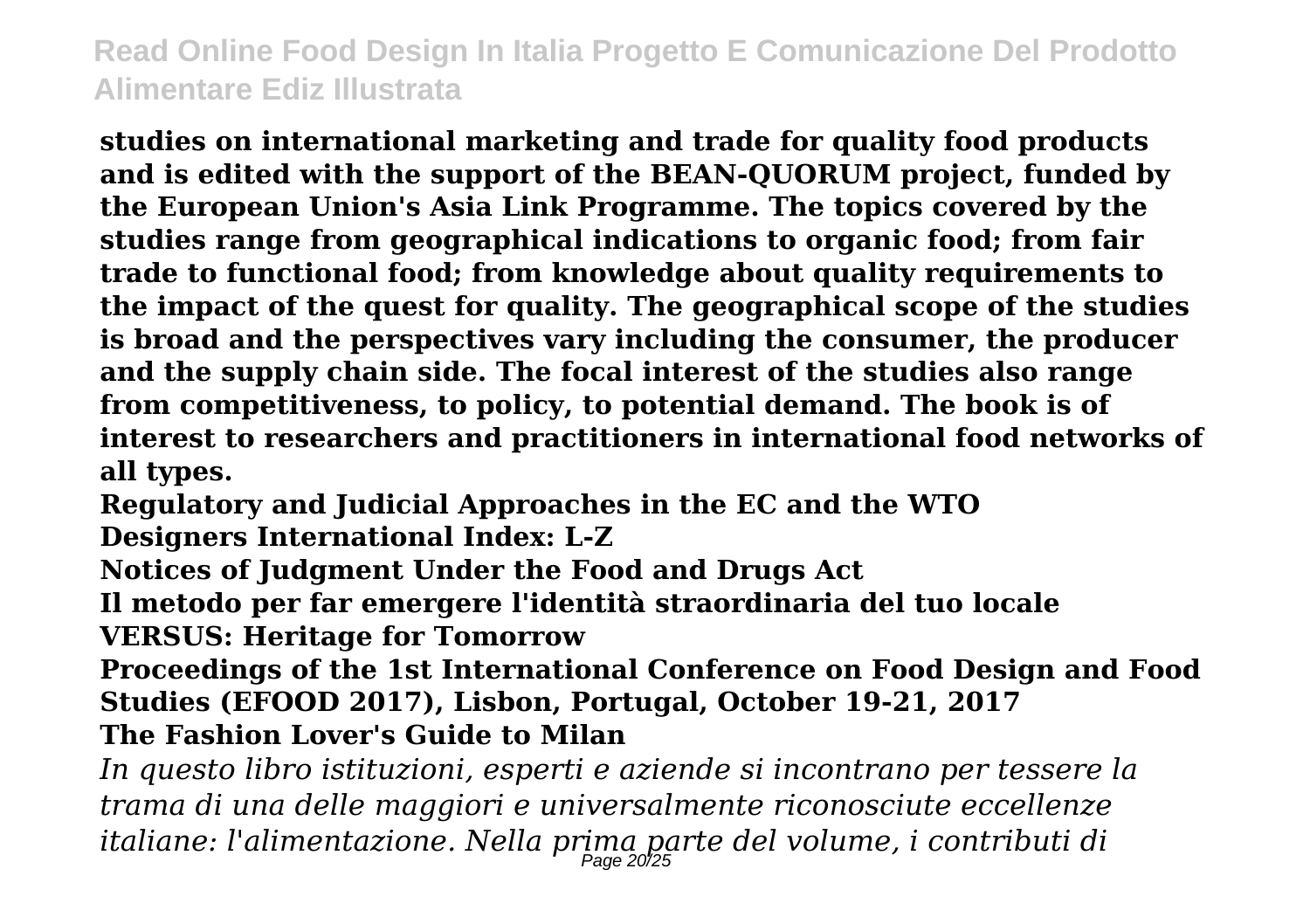**studies on international marketing and trade for quality food products and is edited with the support of the BEAN-QUORUM project, funded by the European Union's Asia Link Programme. The topics covered by the studies range from geographical indications to organic food; from fair trade to functional food; from knowledge about quality requirements to the impact of the quest for quality. The geographical scope of the studies is broad and the perspectives vary including the consumer, the producer and the supply chain side. The focal interest of the studies also range from competitiveness, to policy, to potential demand. The book is of interest to researchers and practitioners in international food networks of all types.**

**Regulatory and Judicial Approaches in the EC and the WTO**

**Designers International Index: L-Z**

**Notices of Judgment Under the Food and Drugs Act**

**Il metodo per far emergere l'identità straordinaria del tuo locale VERSUS: Heritage for Tomorrow**

**Proceedings of the 1st International Conference on Food Design and Food Studies (EFOOD 2017), Lisbon, Portugal, October 19-21, 2017 The Fashion Lover's Guide to Milan**

*In questo libro istituzioni, esperti e aziende si incontrano per tessere la trama di una delle maggiori e universalmente riconosciute eccellenze italiane: l'alimentazione. Nella prima parte del volume, i contributi di* Page 20/25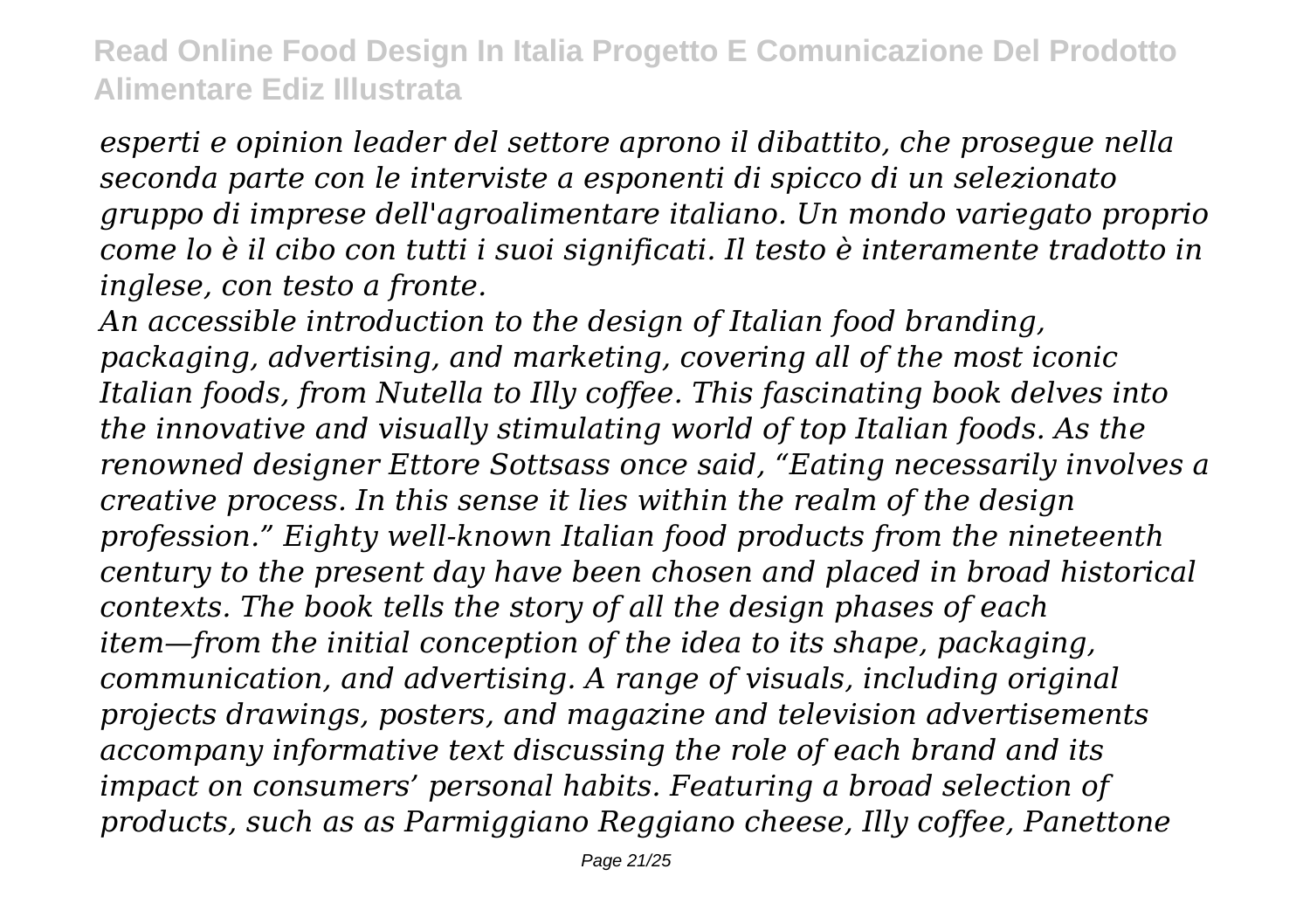*esperti e opinion leader del settore aprono il dibattito, che prosegue nella seconda parte con le interviste a esponenti di spicco di un selezionato gruppo di imprese dell'agroalimentare italiano. Un mondo variegato proprio come lo è il cibo con tutti i suoi significati. Il testo è interamente tradotto in inglese, con testo a fronte.*

*An accessible introduction to the design of Italian food branding, packaging, advertising, and marketing, covering all of the most iconic Italian foods, from Nutella to Illy coffee. This fascinating book delves into the innovative and visually stimulating world of top Italian foods. As the renowned designer Ettore Sottsass once said, "Eating necessarily involves a creative process. In this sense it lies within the realm of the design profession." Eighty well-known Italian food products from the nineteenth century to the present day have been chosen and placed in broad historical contexts. The book tells the story of all the design phases of each item—from the initial conception of the idea to its shape, packaging, communication, and advertising. A range of visuals, including original projects drawings, posters, and magazine and television advertisements accompany informative text discussing the role of each brand and its impact on consumers' personal habits. Featuring a broad selection of products, such as as Parmiggiano Reggiano cheese, Illy coffee, Panettone*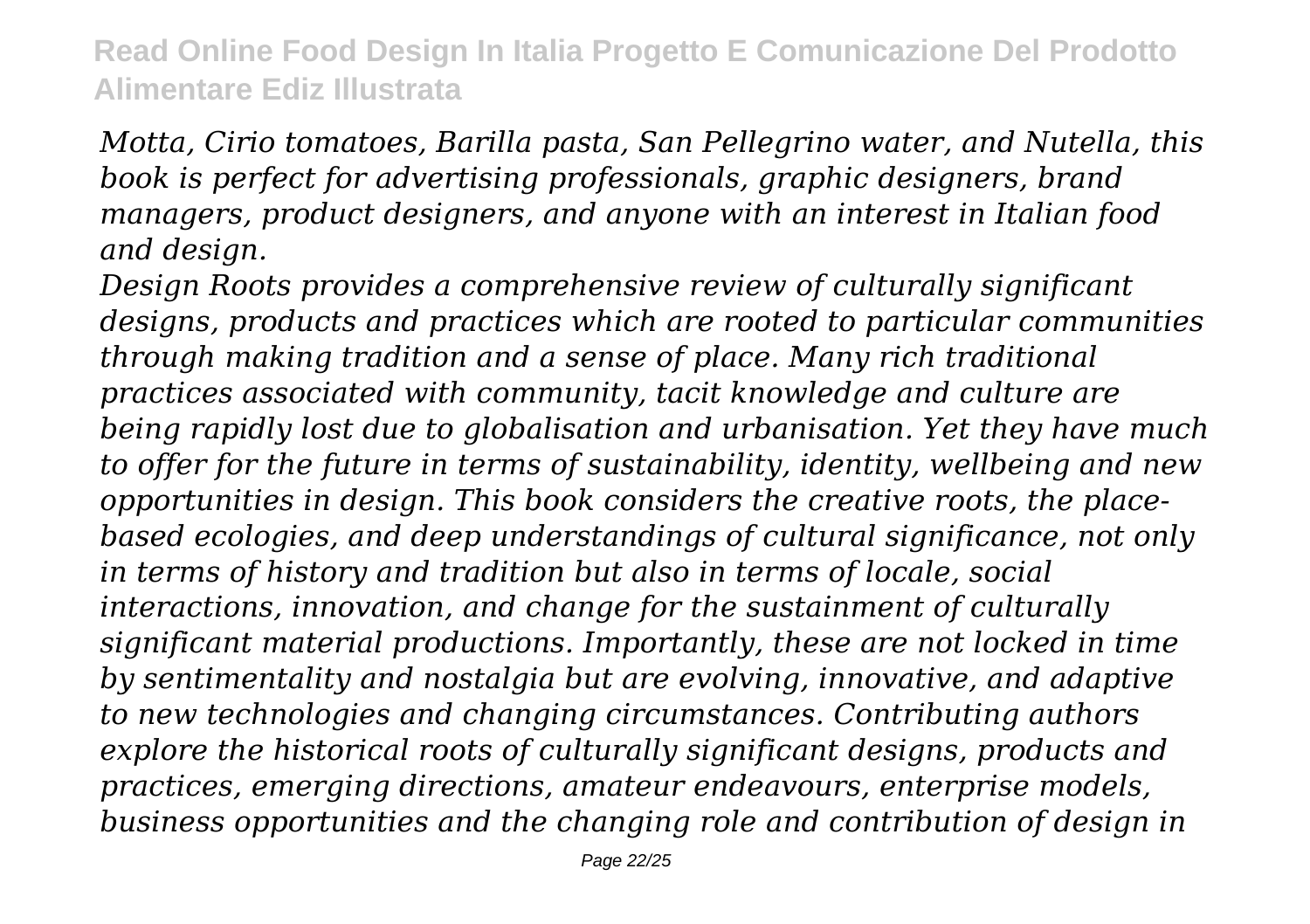*Motta, Cirio tomatoes, Barilla pasta, San Pellegrino water, and Nutella, this book is perfect for advertising professionals, graphic designers, brand managers, product designers, and anyone with an interest in Italian food and design.*

*Design Roots provides a comprehensive review of culturally significant designs, products and practices which are rooted to particular communities through making tradition and a sense of place. Many rich traditional practices associated with community, tacit knowledge and culture are being rapidly lost due to globalisation and urbanisation. Yet they have much to offer for the future in terms of sustainability, identity, wellbeing and new opportunities in design. This book considers the creative roots, the placebased ecologies, and deep understandings of cultural significance, not only in terms of history and tradition but also in terms of locale, social interactions, innovation, and change for the sustainment of culturally significant material productions. Importantly, these are not locked in time by sentimentality and nostalgia but are evolving, innovative, and adaptive to new technologies and changing circumstances. Contributing authors explore the historical roots of culturally significant designs, products and practices, emerging directions, amateur endeavours, enterprise models, business opportunities and the changing role and contribution of design in*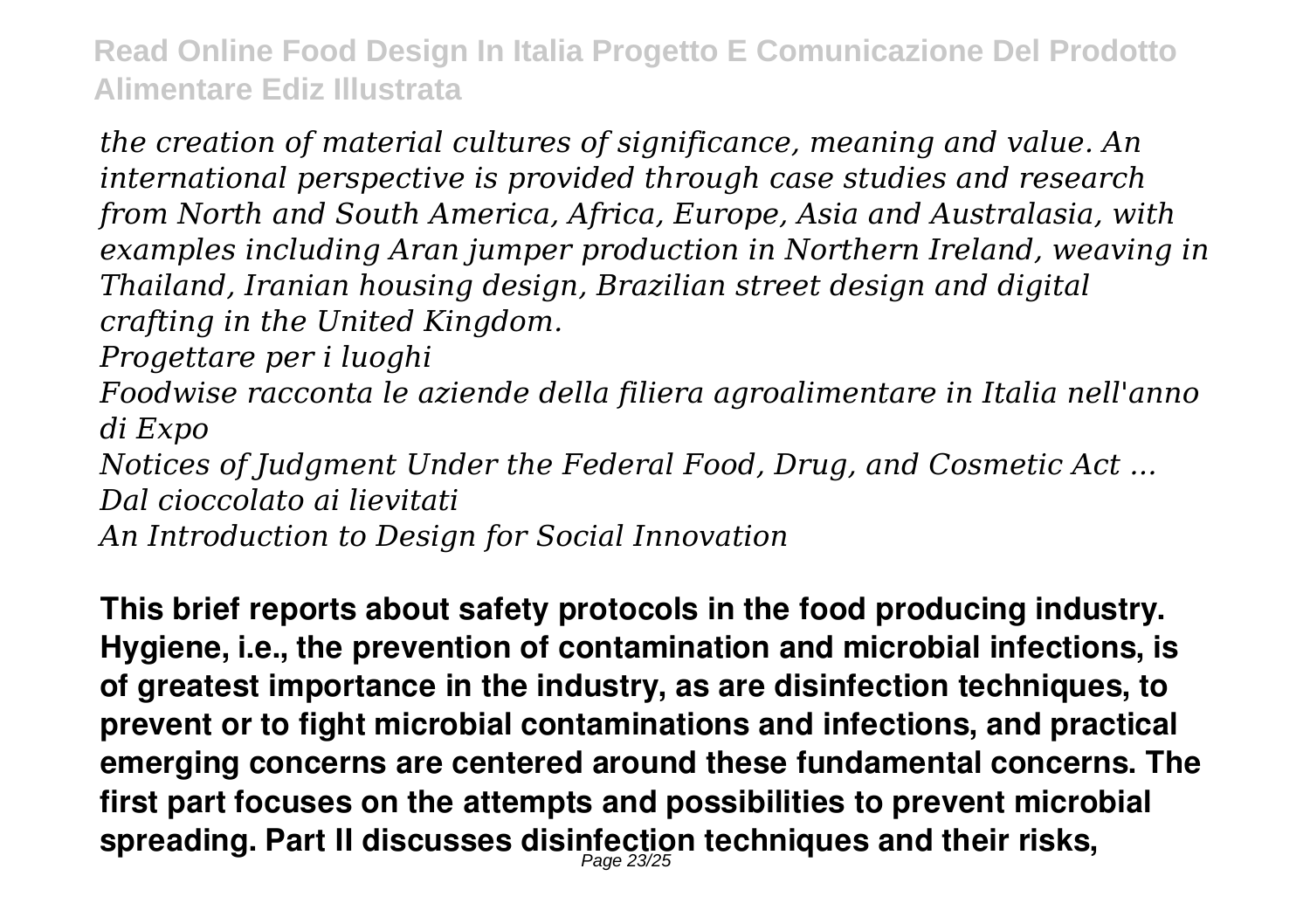*the creation of material cultures of significance, meaning and value. An international perspective is provided through case studies and research from North and South America, Africa, Europe, Asia and Australasia, with examples including Aran jumper production in Northern Ireland, weaving in Thailand, Iranian housing design, Brazilian street design and digital crafting in the United Kingdom.*

*Progettare per i luoghi*

*Foodwise racconta le aziende della filiera agroalimentare in Italia nell'anno di Expo*

*Notices of Judgment Under the Federal Food, Drug, and Cosmetic Act ... Dal cioccolato ai lievitati*

*An Introduction to Design for Social Innovation*

**This brief reports about safety protocols in the food producing industry. Hygiene, i.e., the prevention of contamination and microbial infections, is of greatest importance in the industry, as are disinfection techniques, to prevent or to fight microbial contaminations and infections, and practical emerging concerns are centered around these fundamental concerns. The first part focuses on the attempts and possibilities to prevent microbial spreading. Part II discusses disinfection techniques and their risks,** Page 23/25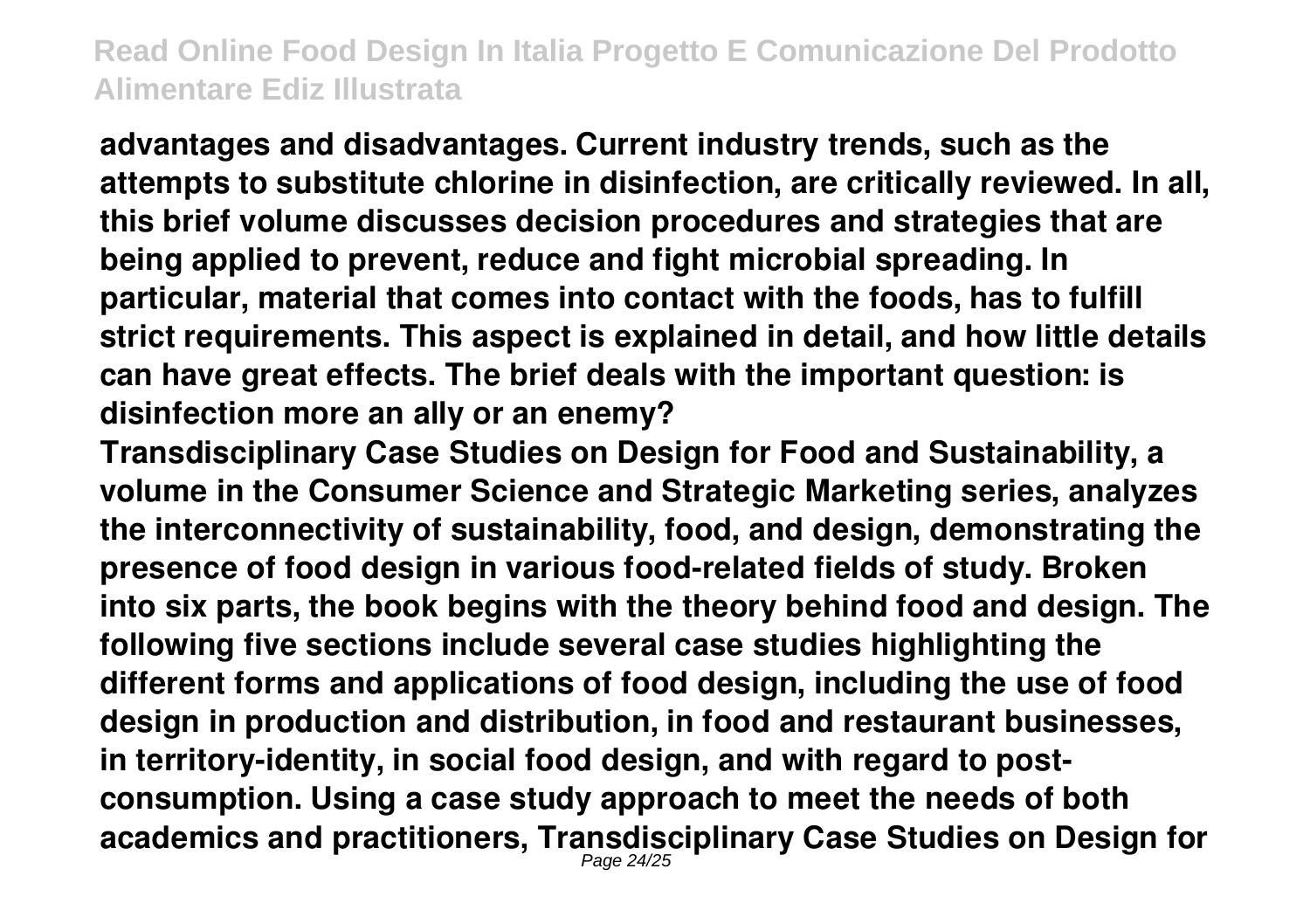**advantages and disadvantages. Current industry trends, such as the attempts to substitute chlorine in disinfection, are critically reviewed. In all, this brief volume discusses decision procedures and strategies that are being applied to prevent, reduce and fight microbial spreading. In particular, material that comes into contact with the foods, has to fulfill strict requirements. This aspect is explained in detail, and how little details can have great effects. The brief deals with the important question: is disinfection more an ally or an enemy?**

**Transdisciplinary Case Studies on Design for Food and Sustainability, a volume in the Consumer Science and Strategic Marketing series, analyzes the interconnectivity of sustainability, food, and design, demonstrating the presence of food design in various food-related fields of study. Broken into six parts, the book begins with the theory behind food and design. The following five sections include several case studies highlighting the different forms and applications of food design, including the use of food design in production and distribution, in food and restaurant businesses, in territory-identity, in social food design, and with regard to postconsumption. Using a case study approach to meet the needs of both academics and practitioners, Transdisciplinary Case Studies on Design for** Page 24/25